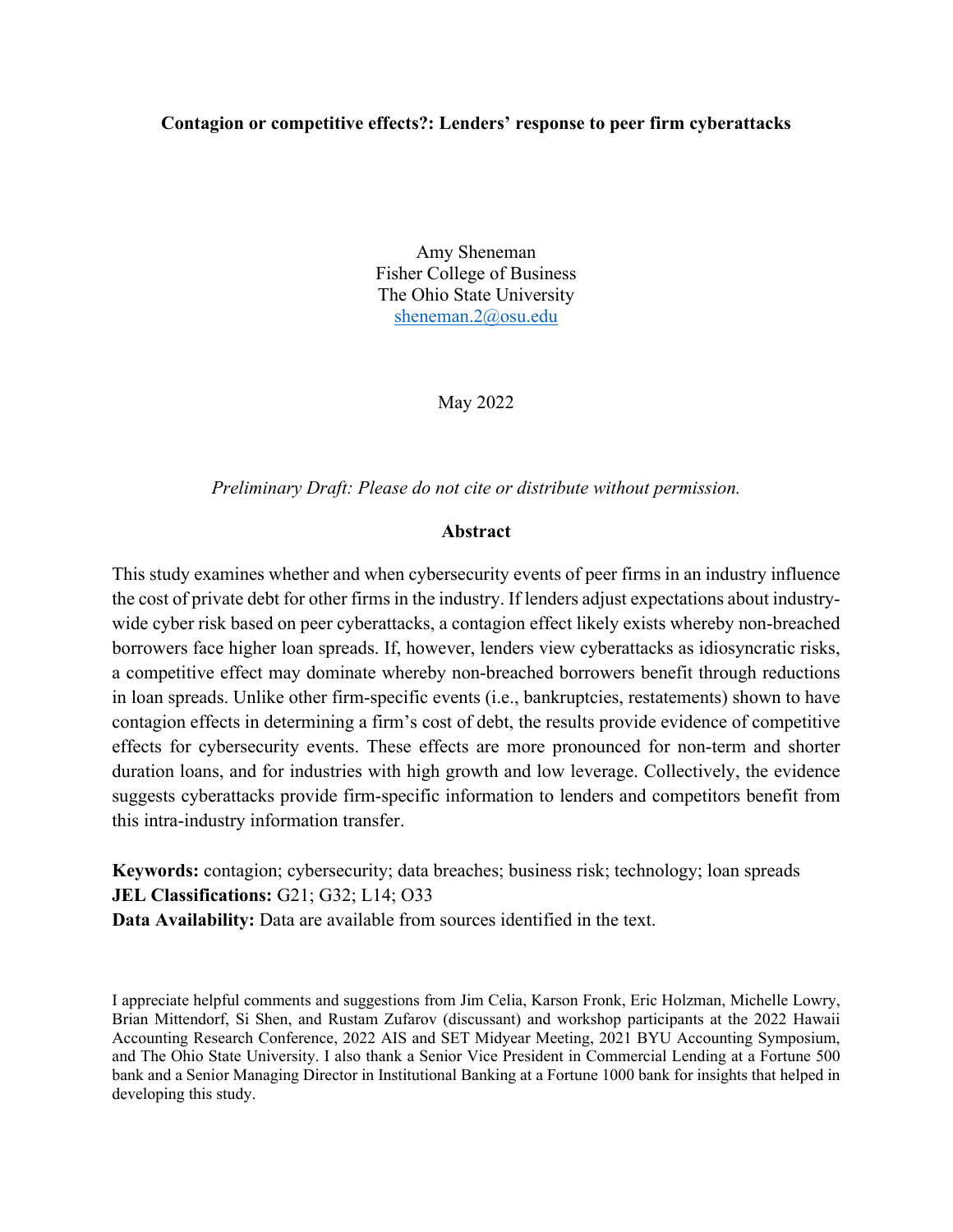# **Contagion or competitive effects?: Lenders' response to peer firm cyberattacks**

Amy Sheneman Fisher College of Business The Ohio State University [sheneman.2@osu.edu](mailto:sheneman.2@osu.edu)

May 2022

*Preliminary Draft: Please do not cite or distribute without permission.* 

# **Abstract**

This study examines whether and when cybersecurity events of peer firms in an industry influence the cost of private debt for other firms in the industry. If lenders adjust expectations about industrywide cyber risk based on peer cyberattacks, a contagion effect likely exists whereby non-breached borrowers face higher loan spreads. If, however, lenders view cyberattacks as idiosyncratic risks, a competitive effect may dominate whereby non-breached borrowers benefit through reductions in loan spreads. Unlike other firm-specific events (i.e., bankruptcies, restatements) shown to have contagion effects in determining a firm's cost of debt, the results provide evidence of competitive effects for cybersecurity events. These effects are more pronounced for non-term and shorter duration loans, and for industries with high growth and low leverage. Collectively, the evidence suggests cyberattacks provide firm-specific information to lenders and competitors benefit from this intra-industry information transfer.

**Keywords:** contagion; cybersecurity; data breaches; business risk; technology; loan spreads **JEL Classifications:** G21; G32; L14; O33 **Data Availability:** Data are available from sources identified in the text.

I appreciate helpful comments and suggestions from Jim Celia, Karson Fronk, Eric Holzman, Michelle Lowry, Brian Mittendorf, Si Shen, and Rustam Zufarov (discussant) and workshop participants at the 2022 Hawaii Accounting Research Conference, 2022 AIS and SET Midyear Meeting, 2021 BYU Accounting Symposium, and The Ohio State University. I also thank a Senior Vice President in Commercial Lending at a Fortune 500 bank and a Senior Managing Director in Institutional Banking at a Fortune 1000 bank for insights that helped in developing this study.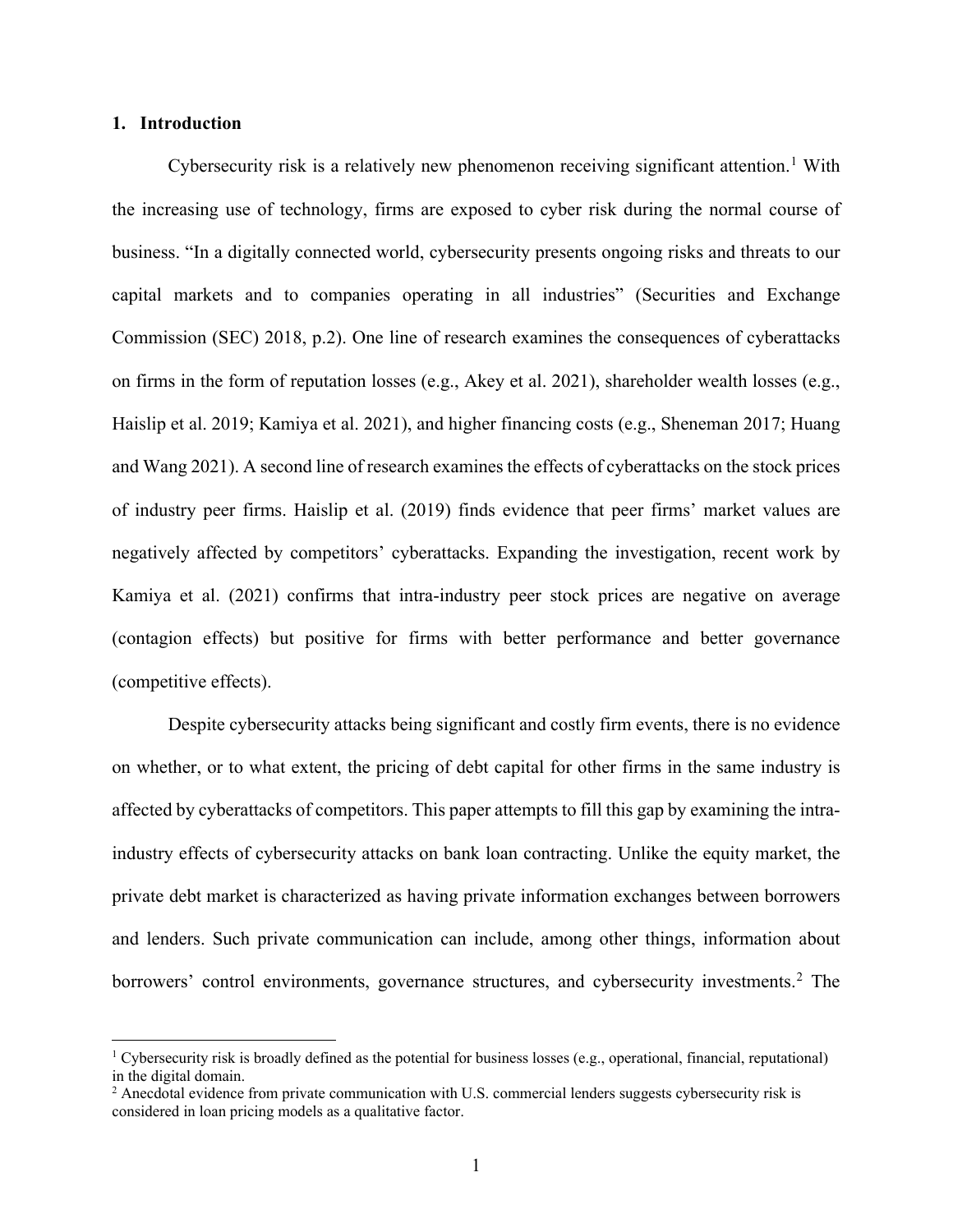# **1. Introduction**

Cybersecurity risk is a relatively new phenomenon receiving significant attention.<sup>[1](#page-1-0)</sup> With the increasing use of technology, firms are exposed to cyber risk during the normal course of business. "In a digitally connected world, cybersecurity presents ongoing risks and threats to our capital markets and to companies operating in all industries" (Securities and Exchange Commission (SEC) 2018, p.2). One line of research examines the consequences of cyberattacks on firms in the form of reputation losses (e.g., Akey et al. 2021), shareholder wealth losses (e.g., Haislip et al. 2019; Kamiya et al. 2021), and higher financing costs (e.g., Sheneman 2017; Huang and Wang 2021). A second line of research examines the effects of cyberattacks on the stock prices of industry peer firms. Haislip et al. (2019) finds evidence that peer firms' market values are negatively affected by competitors' cyberattacks. Expanding the investigation, recent work by Kamiya et al. (2021) confirms that intra-industry peer stock prices are negative on average (contagion effects) but positive for firms with better performance and better governance (competitive effects).

Despite cybersecurity attacks being significant and costly firm events, there is no evidence on whether, or to what extent, the pricing of debt capital for other firms in the same industry is affected by cyberattacks of competitors. This paper attempts to fill this gap by examining the intraindustry effects of cybersecurity attacks on bank loan contracting. Unlike the equity market, the private debt market is characterized as having private information exchanges between borrowers and lenders. Such private communication can include, among other things, information about borrowers' control environments, governance structures, and cybersecurity investments.<sup>[2](#page-1-1)</sup> The

<span id="page-1-0"></span><sup>&</sup>lt;sup>1</sup> Cybersecurity risk is broadly defined as the potential for business losses (e.g., operational, financial, reputational) in the digital domain.

<span id="page-1-1"></span><sup>&</sup>lt;sup>2</sup> Anecdotal evidence from private communication with U.S. commercial lenders suggests cybersecurity risk is considered in loan pricing models as a qualitative factor.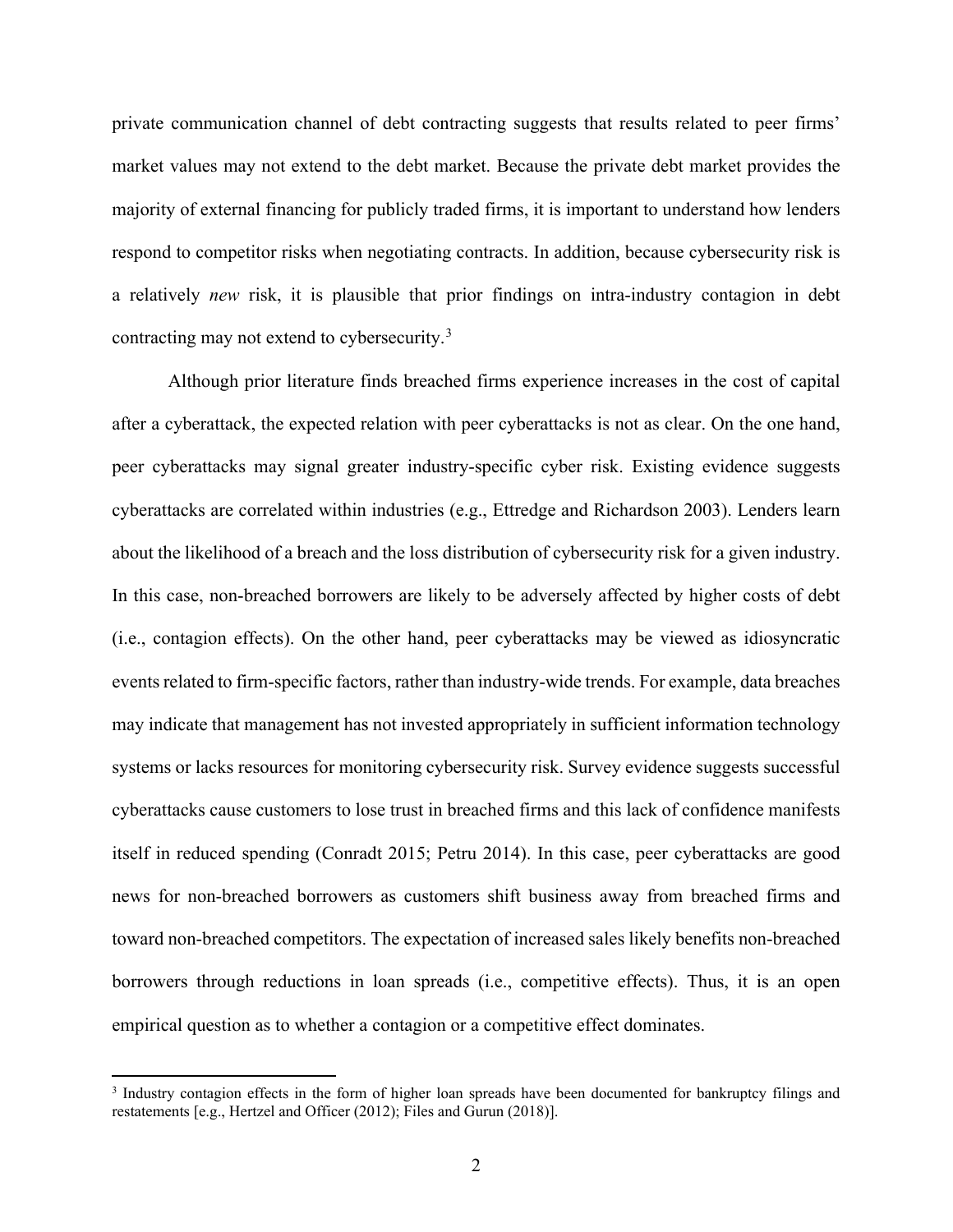private communication channel of debt contracting suggests that results related to peer firms' market values may not extend to the debt market. Because the private debt market provides the majority of external financing for publicly traded firms, it is important to understand how lenders respond to competitor risks when negotiating contracts. In addition, because cybersecurity risk is a relatively *new* risk, it is plausible that prior findings on intra-industry contagion in debt contracting may not extend to cybersecurity.[3](#page-2-0)

Although prior literature finds breached firms experience increases in the cost of capital after a cyberattack, the expected relation with peer cyberattacks is not as clear. On the one hand, peer cyberattacks may signal greater industry-specific cyber risk. Existing evidence suggests cyberattacks are correlated within industries (e.g., Ettredge and Richardson 2003). Lenders learn about the likelihood of a breach and the loss distribution of cybersecurity risk for a given industry. In this case, non-breached borrowers are likely to be adversely affected by higher costs of debt (i.e., contagion effects). On the other hand, peer cyberattacks may be viewed as idiosyncratic events related to firm-specific factors, rather than industry-wide trends. For example, data breaches may indicate that management has not invested appropriately in sufficient information technology systems or lacks resources for monitoring cybersecurity risk. Survey evidence suggests successful cyberattacks cause customers to lose trust in breached firms and this lack of confidence manifests itself in reduced spending (Conradt 2015; Petru 2014). In this case, peer cyberattacks are good news for non-breached borrowers as customers shift business away from breached firms and toward non-breached competitors. The expectation of increased sales likely benefits non-breached borrowers through reductions in loan spreads (i.e., competitive effects). Thus, it is an open empirical question as to whether a contagion or a competitive effect dominates.

<span id="page-2-0"></span><sup>&</sup>lt;sup>3</sup> Industry contagion effects in the form of higher loan spreads have been documented for bankruptcy filings and restatements [e.g., Hertzel and Officer (2012); Files and Gurun (2018)].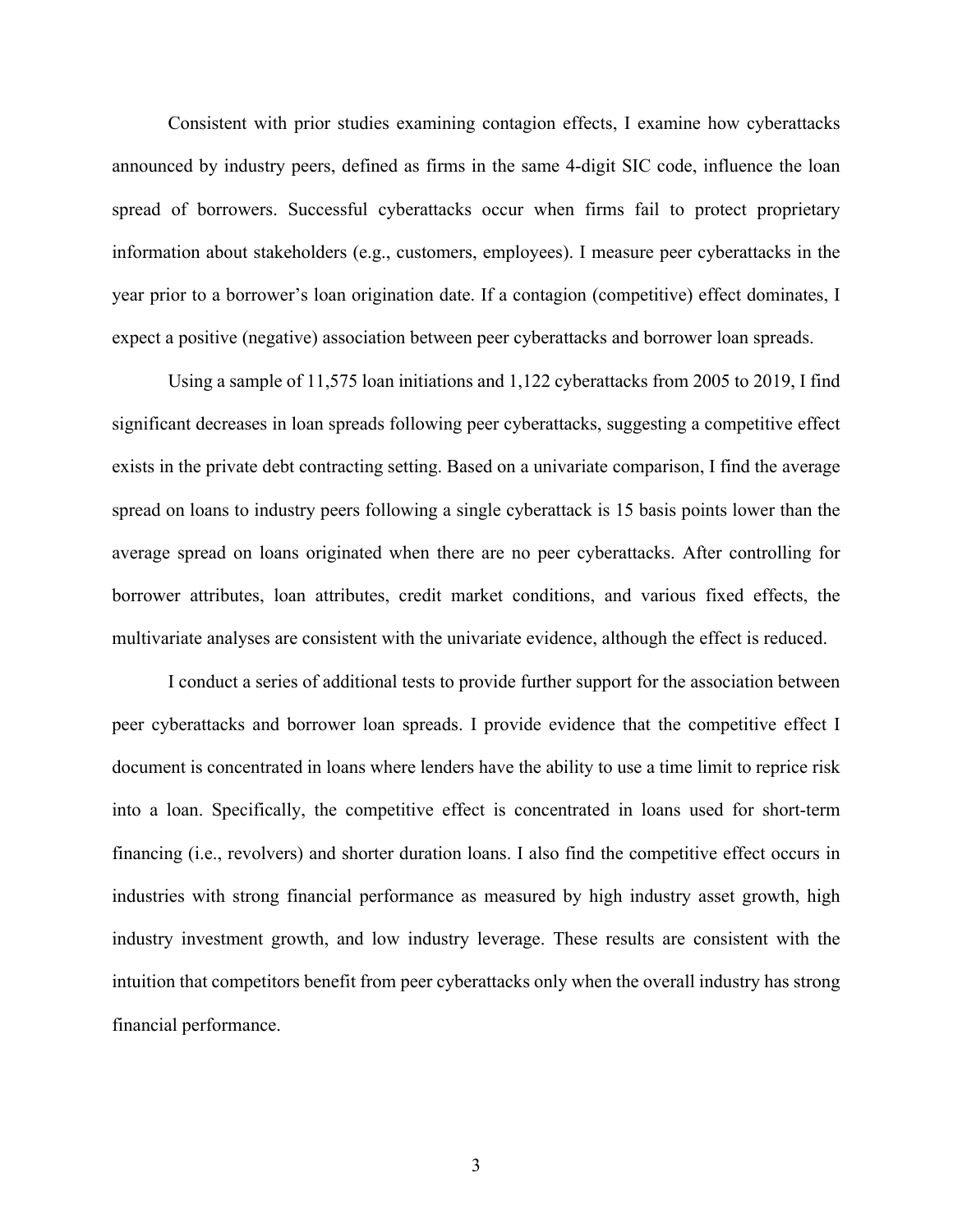Consistent with prior studies examining contagion effects, I examine how cyberattacks announced by industry peers, defined as firms in the same 4-digit SIC code, influence the loan spread of borrowers. Successful cyberattacks occur when firms fail to protect proprietary information about stakeholders (e.g., customers, employees). I measure peer cyberattacks in the year prior to a borrower's loan origination date. If a contagion (competitive) effect dominates, I expect a positive (negative) association between peer cyberattacks and borrower loan spreads.

Using a sample of 11,575 loan initiations and 1,122 cyberattacks from 2005 to 2019, I find significant decreases in loan spreads following peer cyberattacks, suggesting a competitive effect exists in the private debt contracting setting. Based on a univariate comparison, I find the average spread on loans to industry peers following a single cyberattack is 15 basis points lower than the average spread on loans originated when there are no peer cyberattacks. After controlling for borrower attributes, loan attributes, credit market conditions, and various fixed effects, the multivariate analyses are consistent with the univariate evidence, although the effect is reduced.

I conduct a series of additional tests to provide further support for the association between peer cyberattacks and borrower loan spreads. I provide evidence that the competitive effect I document is concentrated in loans where lenders have the ability to use a time limit to reprice risk into a loan. Specifically, the competitive effect is concentrated in loans used for short-term financing (i.e., revolvers) and shorter duration loans. I also find the competitive effect occurs in industries with strong financial performance as measured by high industry asset growth, high industry investment growth, and low industry leverage. These results are consistent with the intuition that competitors benefit from peer cyberattacks only when the overall industry has strong financial performance.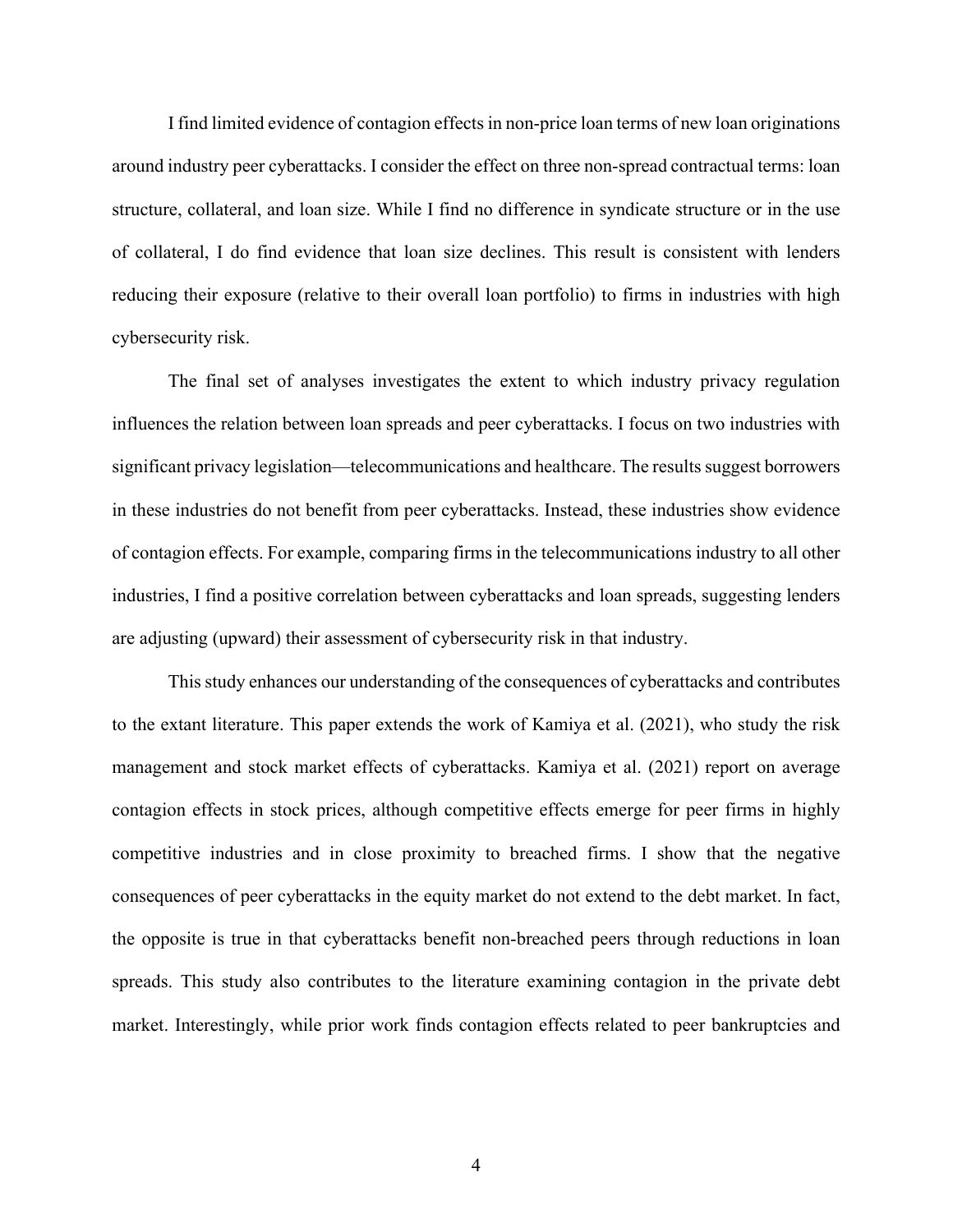I find limited evidence of contagion effects in non-price loan terms of new loan originations around industry peer cyberattacks. I consider the effect on three non-spread contractual terms: loan structure, collateral, and loan size. While I find no difference in syndicate structure or in the use of collateral, I do find evidence that loan size declines. This result is consistent with lenders reducing their exposure (relative to their overall loan portfolio) to firms in industries with high cybersecurity risk.

The final set of analyses investigates the extent to which industry privacy regulation influences the relation between loan spreads and peer cyberattacks. I focus on two industries with significant privacy legislation—telecommunications and healthcare. The results suggest borrowers in these industries do not benefit from peer cyberattacks. Instead, these industries show evidence of contagion effects. For example, comparing firms in the telecommunications industry to all other industries, I find a positive correlation between cyberattacks and loan spreads, suggesting lenders are adjusting (upward) their assessment of cybersecurity risk in that industry.

This study enhances our understanding of the consequences of cyberattacks and contributes to the extant literature. This paper extends the work of Kamiya et al. (2021), who study the risk management and stock market effects of cyberattacks. Kamiya et al. (2021) report on average contagion effects in stock prices, although competitive effects emerge for peer firms in highly competitive industries and in close proximity to breached firms. I show that the negative consequences of peer cyberattacks in the equity market do not extend to the debt market. In fact, the opposite is true in that cyberattacks benefit non-breached peers through reductions in loan spreads. This study also contributes to the literature examining contagion in the private debt market. Interestingly, while prior work finds contagion effects related to peer bankruptcies and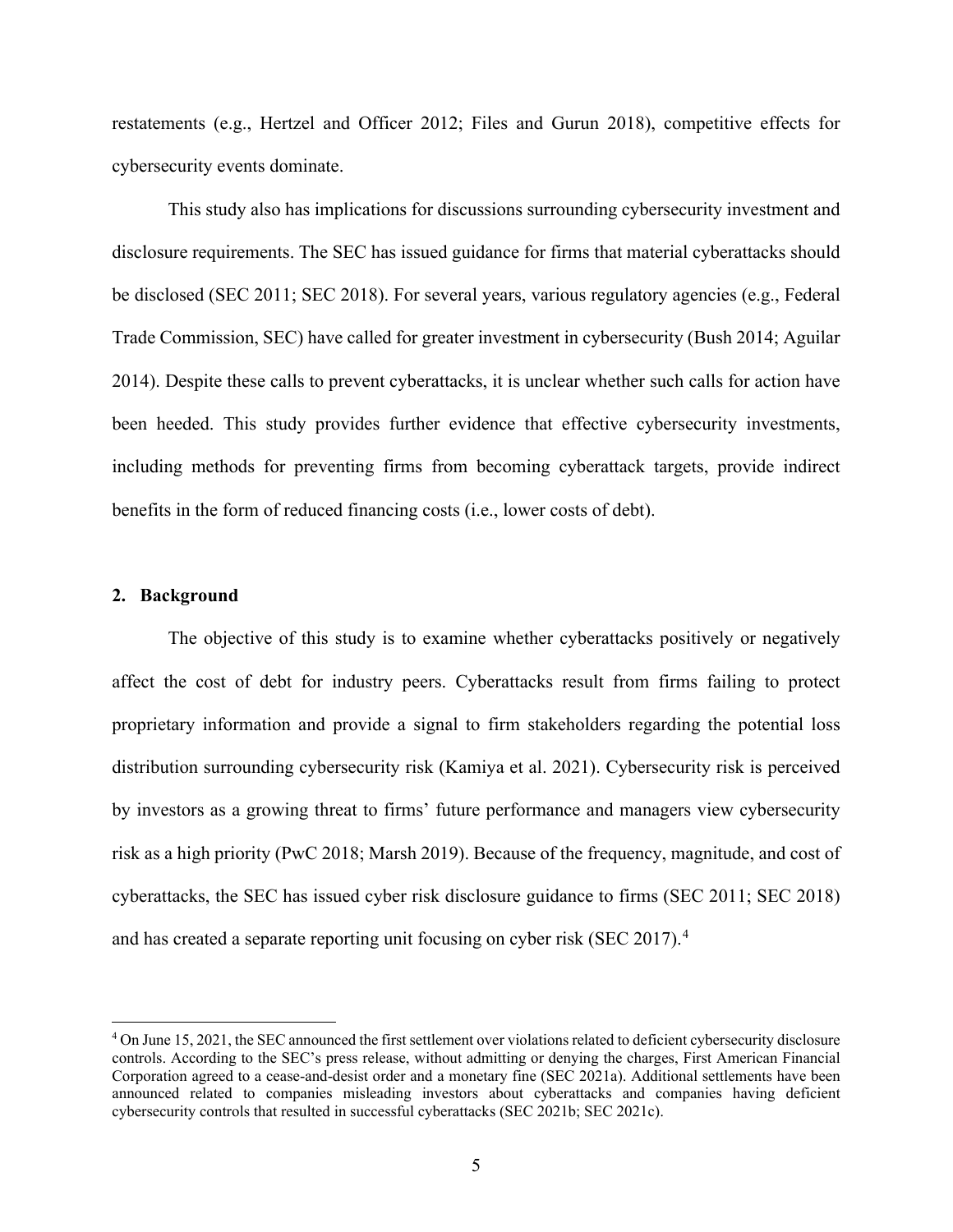restatements (e.g., Hertzel and Officer 2012; Files and Gurun 2018), competitive effects for cybersecurity events dominate.

This study also has implications for discussions surrounding cybersecurity investment and disclosure requirements. The SEC has issued guidance for firms that material cyberattacks should be disclosed (SEC 2011; SEC 2018). For several years, various regulatory agencies (e.g., Federal Trade Commission, SEC) have called for greater investment in cybersecurity (Bush 2014; Aguilar 2014). Despite these calls to prevent cyberattacks, it is unclear whether such calls for action have been heeded. This study provides further evidence that effective cybersecurity investments, including methods for preventing firms from becoming cyberattack targets, provide indirect benefits in the form of reduced financing costs (i.e., lower costs of debt).

#### **2. Background**

The objective of this study is to examine whether cyberattacks positively or negatively affect the cost of debt for industry peers. Cyberattacks result from firms failing to protect proprietary information and provide a signal to firm stakeholders regarding the potential loss distribution surrounding cybersecurity risk (Kamiya et al. 2021). Cybersecurity risk is perceived by investors as a growing threat to firms' future performance and managers view cybersecurity risk as a high priority (PwC 2018; Marsh 2019). Because of the frequency, magnitude, and cost of cyberattacks, the SEC has issued cyber risk disclosure guidance to firms (SEC 2011; SEC 2018) and has created a separate reporting unit focusing on cyber risk (SEC 2017).<sup>[4](#page-5-0)</sup>

<span id="page-5-0"></span><sup>4</sup> On June 15, 2021, the SEC announced the first settlement over violations related to deficient cybersecurity disclosure controls. According to the SEC's press release, without admitting or denying the charges, First American Financial Corporation agreed to a cease-and-desist order and a monetary fine (SEC 2021a). Additional settlements have been announced related to companies misleading investors about cyberattacks and companies having deficient cybersecurity controls that resulted in successful cyberattacks (SEC 2021b; SEC 2021c).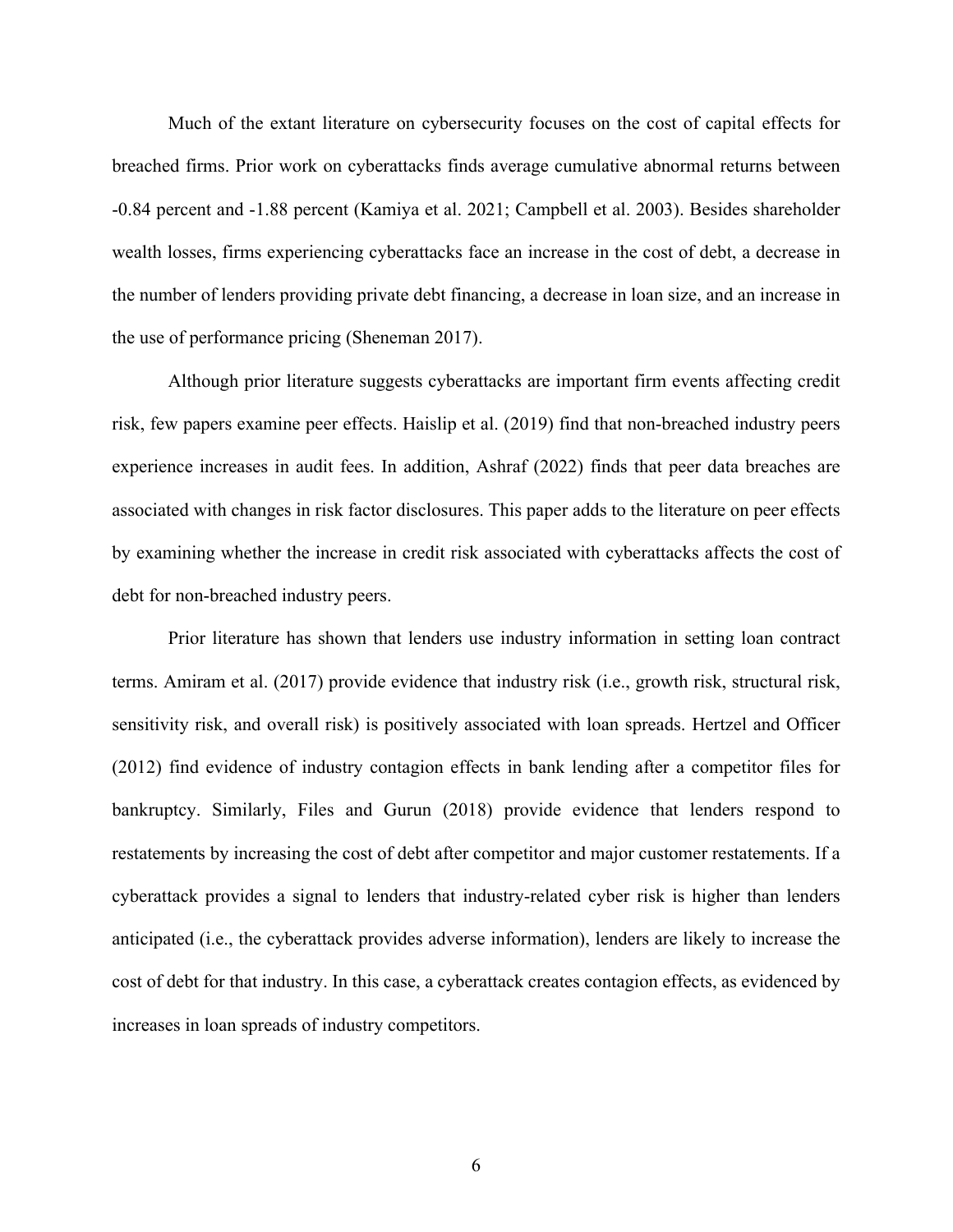Much of the extant literature on cybersecurity focuses on the cost of capital effects for breached firms. Prior work on cyberattacks finds average cumulative abnormal returns between -0.84 percent and -1.88 percent (Kamiya et al. 2021; Campbell et al. 2003). Besides shareholder wealth losses, firms experiencing cyberattacks face an increase in the cost of debt, a decrease in the number of lenders providing private debt financing, a decrease in loan size, and an increase in the use of performance pricing (Sheneman 2017).

Although prior literature suggests cyberattacks are important firm events affecting credit risk, few papers examine peer effects. Haislip et al. (2019) find that non-breached industry peers experience increases in audit fees. In addition, Ashraf (2022) finds that peer data breaches are associated with changes in risk factor disclosures. This paper adds to the literature on peer effects by examining whether the increase in credit risk associated with cyberattacks affects the cost of debt for non-breached industry peers.

Prior literature has shown that lenders use industry information in setting loan contract terms. Amiram et al. (2017) provide evidence that industry risk (i.e., growth risk, structural risk, sensitivity risk, and overall risk) is positively associated with loan spreads. Hertzel and Officer (2012) find evidence of industry contagion effects in bank lending after a competitor files for bankruptcy. Similarly, Files and Gurun (2018) provide evidence that lenders respond to restatements by increasing the cost of debt after competitor and major customer restatements. If a cyberattack provides a signal to lenders that industry-related cyber risk is higher than lenders anticipated (i.e., the cyberattack provides adverse information), lenders are likely to increase the cost of debt for that industry. In this case, a cyberattack creates contagion effects, as evidenced by increases in loan spreads of industry competitors.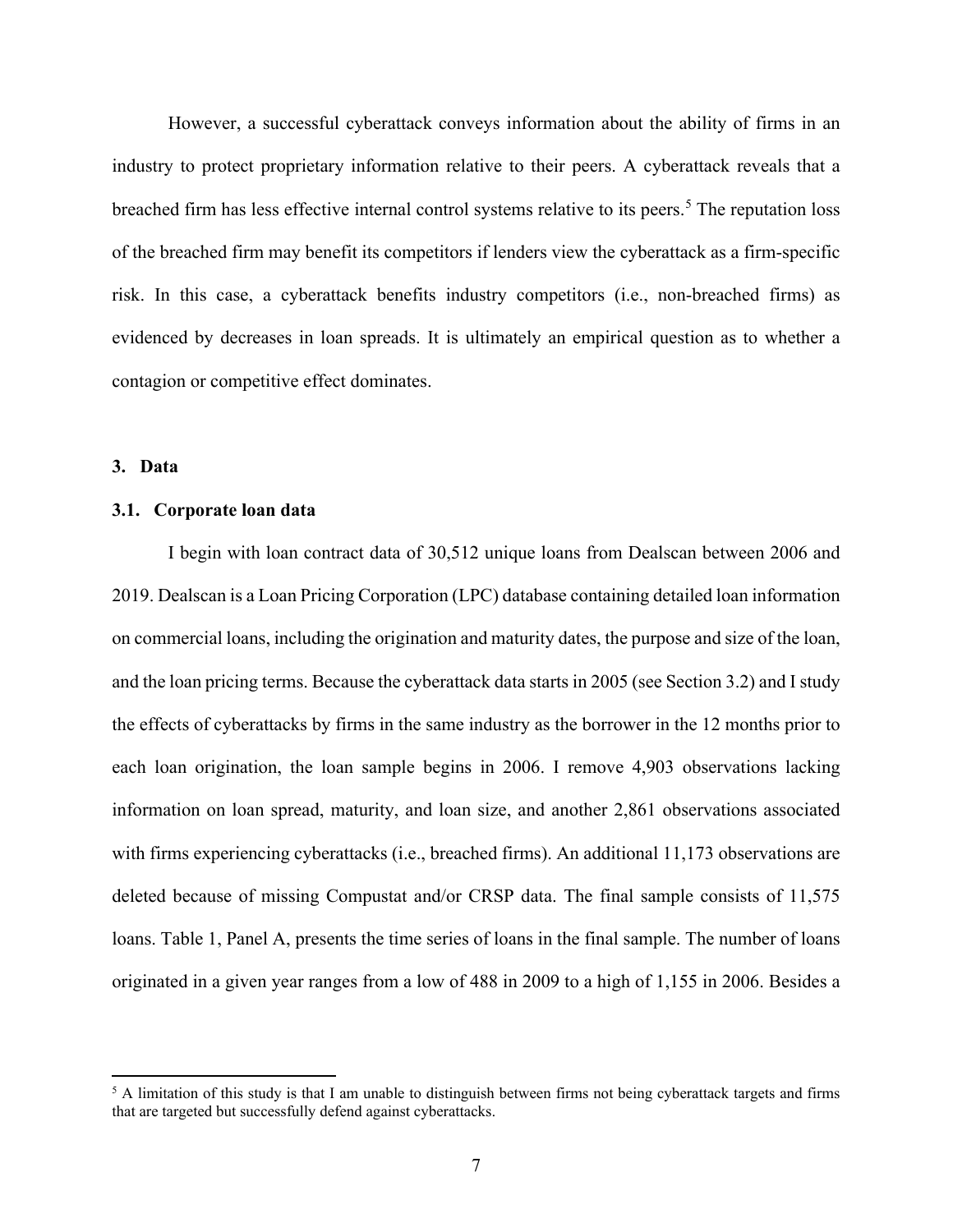However, a successful cyberattack conveys information about the ability of firms in an industry to protect proprietary information relative to their peers. A cyberattack reveals that a breached firm has less effective internal control systems relative to its peers.<sup>[5](#page-7-0)</sup> The reputation loss of the breached firm may benefit its competitors if lenders view the cyberattack as a firm-specific risk. In this case, a cyberattack benefits industry competitors (i.e., non-breached firms) as evidenced by decreases in loan spreads. It is ultimately an empirical question as to whether a contagion or competitive effect dominates.

# **3. Data**

#### **3.1. Corporate loan data**

I begin with loan contract data of 30,512 unique loans from Dealscan between 2006 and 2019. Dealscan is a Loan Pricing Corporation (LPC) database containing detailed loan information on commercial loans, including the origination and maturity dates, the purpose and size of the loan, and the loan pricing terms. Because the cyberattack data starts in 2005 (see Section 3.2) and I study the effects of cyberattacks by firms in the same industry as the borrower in the 12 months prior to each loan origination, the loan sample begins in 2006. I remove 4,903 observations lacking information on loan spread, maturity, and loan size, and another 2,861 observations associated with firms experiencing cyberattacks (i.e., breached firms). An additional 11,173 observations are deleted because of missing Compustat and/or CRSP data. The final sample consists of 11,575 loans. Table 1, Panel A, presents the time series of loans in the final sample. The number of loans originated in a given year ranges from a low of 488 in 2009 to a high of 1,155 in 2006. Besides a

<span id="page-7-0"></span><sup>&</sup>lt;sup>5</sup> A limitation of this study is that I am unable to distinguish between firms not being cyberattack targets and firms that are targeted but successfully defend against cyberattacks.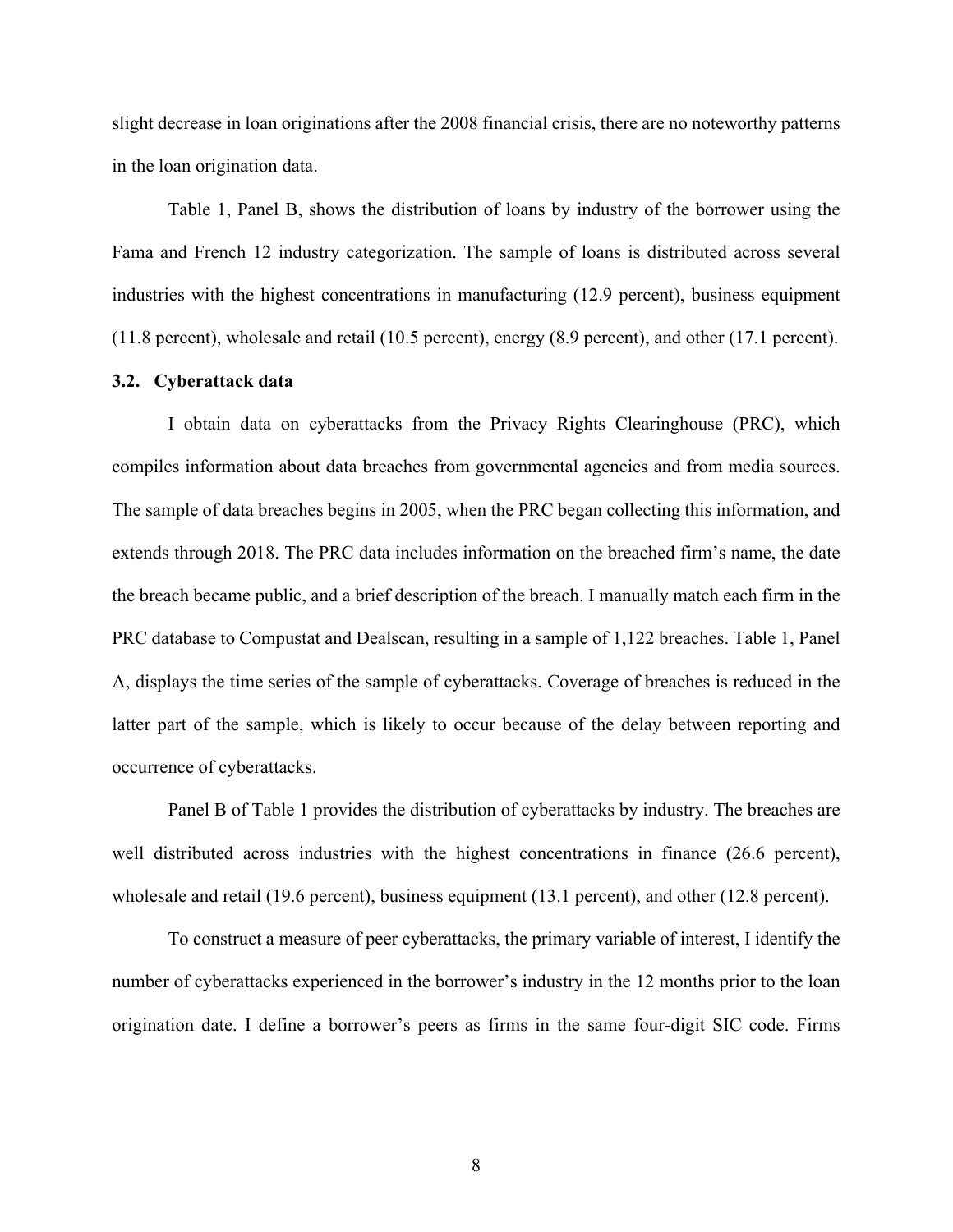slight decrease in loan originations after the 2008 financial crisis, there are no noteworthy patterns in the loan origination data.

Table 1, Panel B, shows the distribution of loans by industry of the borrower using the Fama and French 12 industry categorization. The sample of loans is distributed across several industries with the highest concentrations in manufacturing (12.9 percent), business equipment (11.8 percent), wholesale and retail (10.5 percent), energy (8.9 percent), and other (17.1 percent).

# **3.2. Cyberattack data**

I obtain data on cyberattacks from the Privacy Rights Clearinghouse (PRC), which compiles information about data breaches from governmental agencies and from media sources. The sample of data breaches begins in 2005, when the PRC began collecting this information, and extends through 2018. The PRC data includes information on the breached firm's name, the date the breach became public, and a brief description of the breach. I manually match each firm in the PRC database to Compustat and Dealscan, resulting in a sample of 1,122 breaches. Table 1, Panel A, displays the time series of the sample of cyberattacks. Coverage of breaches is reduced in the latter part of the sample, which is likely to occur because of the delay between reporting and occurrence of cyberattacks.

Panel B of Table 1 provides the distribution of cyberattacks by industry. The breaches are well distributed across industries with the highest concentrations in finance (26.6 percent), wholesale and retail (19.6 percent), business equipment (13.1 percent), and other (12.8 percent).

To construct a measure of peer cyberattacks, the primary variable of interest, I identify the number of cyberattacks experienced in the borrower's industry in the 12 months prior to the loan origination date. I define a borrower's peers as firms in the same four-digit SIC code. Firms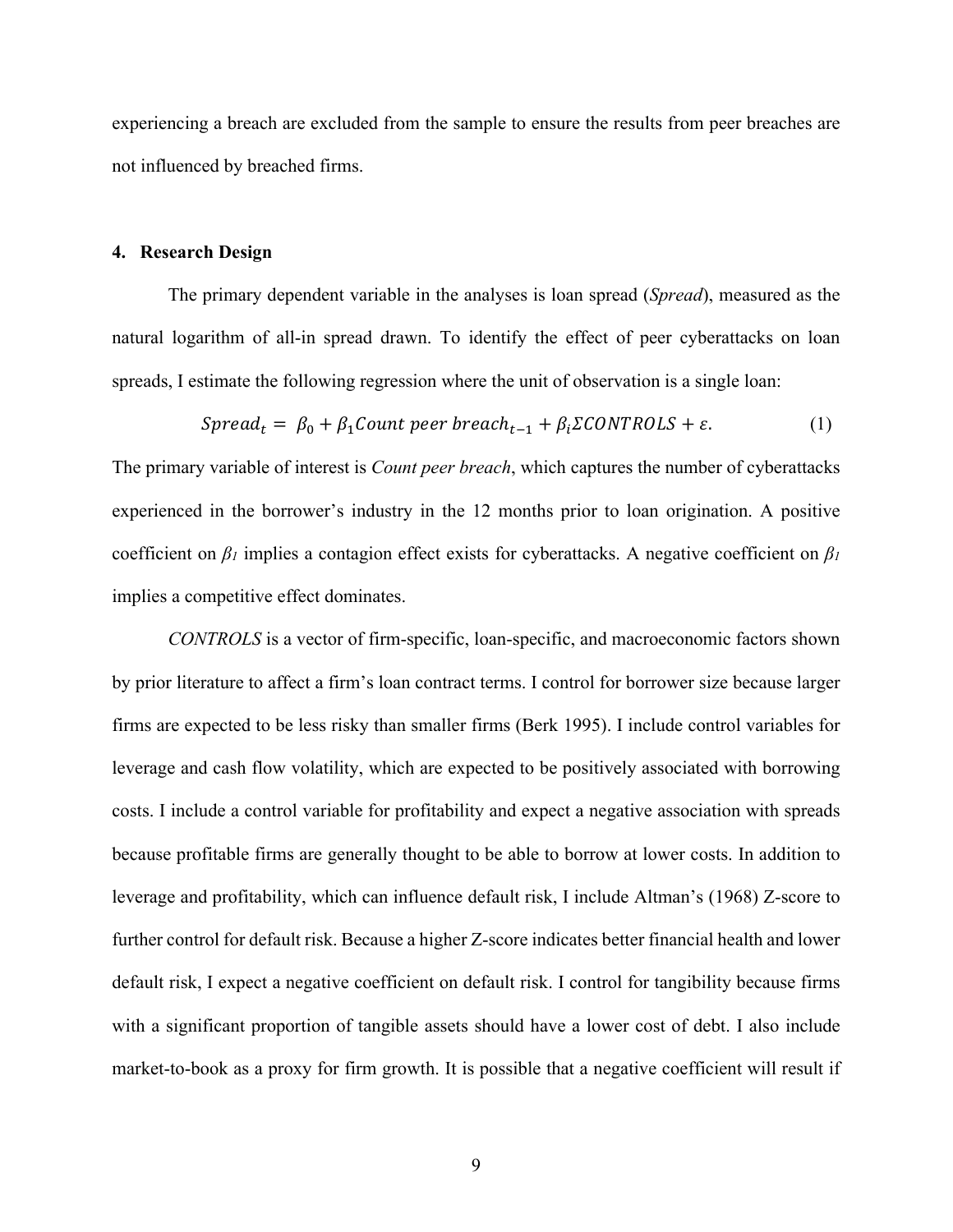experiencing a breach are excluded from the sample to ensure the results from peer breaches are not influenced by breached firms.

# **4. Research Design**

The primary dependent variable in the analyses is loan spread (*Spread*), measured as the natural logarithm of all-in spread drawn. To identify the effect of peer cyberattacks on loan spreads, I estimate the following regression where the unit of observation is a single loan:

$$
Spread_t = \beta_0 + \beta_1 Count\ peer\ break_{t-1} + \beta_i \Sigma CONTROLS + \varepsilon. \tag{1}
$$

The primary variable of interest is *Count peer breach*, which captures the number of cyberattacks experienced in the borrower's industry in the 12 months prior to loan origination. A positive coefficient on *β<sup>1</sup>* implies a contagion effect exists for cyberattacks. A negative coefficient on *β<sup>1</sup>* implies a competitive effect dominates.

*CONTROLS* is a vector of firm-specific, loan-specific, and macroeconomic factors shown by prior literature to affect a firm's loan contract terms. I control for borrower size because larger firms are expected to be less risky than smaller firms (Berk 1995). I include control variables for leverage and cash flow volatility, which are expected to be positively associated with borrowing costs. I include a control variable for profitability and expect a negative association with spreads because profitable firms are generally thought to be able to borrow at lower costs. In addition to leverage and profitability, which can influence default risk, I include Altman's (1968) Z-score to further control for default risk. Because a higher Z-score indicates better financial health and lower default risk, I expect a negative coefficient on default risk. I control for tangibility because firms with a significant proportion of tangible assets should have a lower cost of debt. I also include market-to-book as a proxy for firm growth. It is possible that a negative coefficient will result if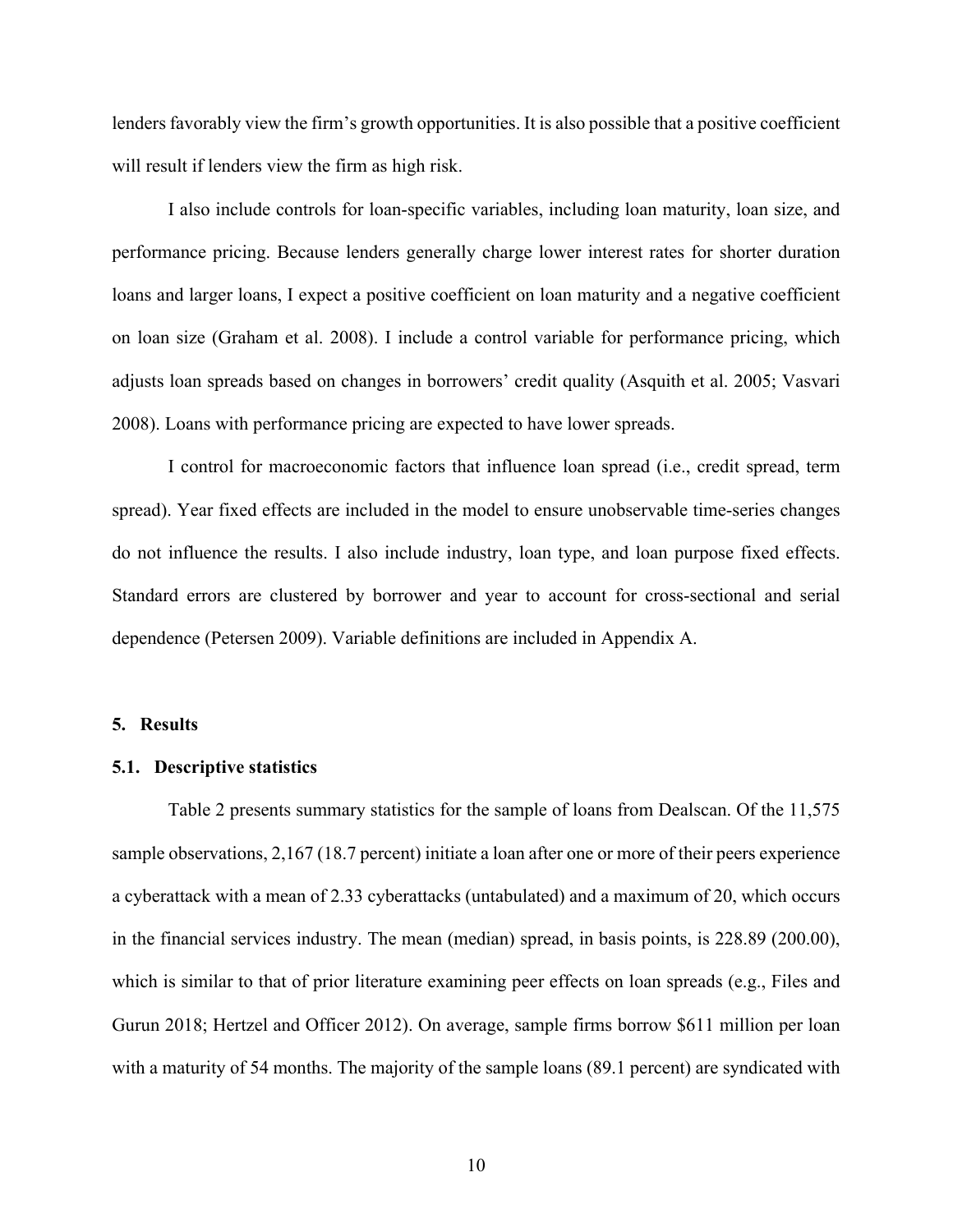lenders favorably view the firm's growth opportunities. It is also possible that a positive coefficient will result if lenders view the firm as high risk.

I also include controls for loan-specific variables, including loan maturity, loan size, and performance pricing. Because lenders generally charge lower interest rates for shorter duration loans and larger loans, I expect a positive coefficient on loan maturity and a negative coefficient on loan size (Graham et al. 2008). I include a control variable for performance pricing, which adjusts loan spreads based on changes in borrowers' credit quality (Asquith et al. 2005; Vasvari 2008). Loans with performance pricing are expected to have lower spreads.

I control for macroeconomic factors that influence loan spread (i.e., credit spread, term spread). Year fixed effects are included in the model to ensure unobservable time-series changes do not influence the results. I also include industry, loan type, and loan purpose fixed effects. Standard errors are clustered by borrower and year to account for cross-sectional and serial dependence (Petersen 2009). Variable definitions are included in Appendix A.

# **5. Results**

#### **5.1. Descriptive statistics**

Table 2 presents summary statistics for the sample of loans from Dealscan. Of the 11,575 sample observations, 2,167 (18.7 percent) initiate a loan after one or more of their peers experience a cyberattack with a mean of 2.33 cyberattacks (untabulated) and a maximum of 20, which occurs in the financial services industry. The mean (median) spread, in basis points, is 228.89 (200.00), which is similar to that of prior literature examining peer effects on loan spreads (e.g., Files and Gurun 2018; Hertzel and Officer 2012). On average, sample firms borrow \$611 million per loan with a maturity of 54 months. The majority of the sample loans (89.1 percent) are syndicated with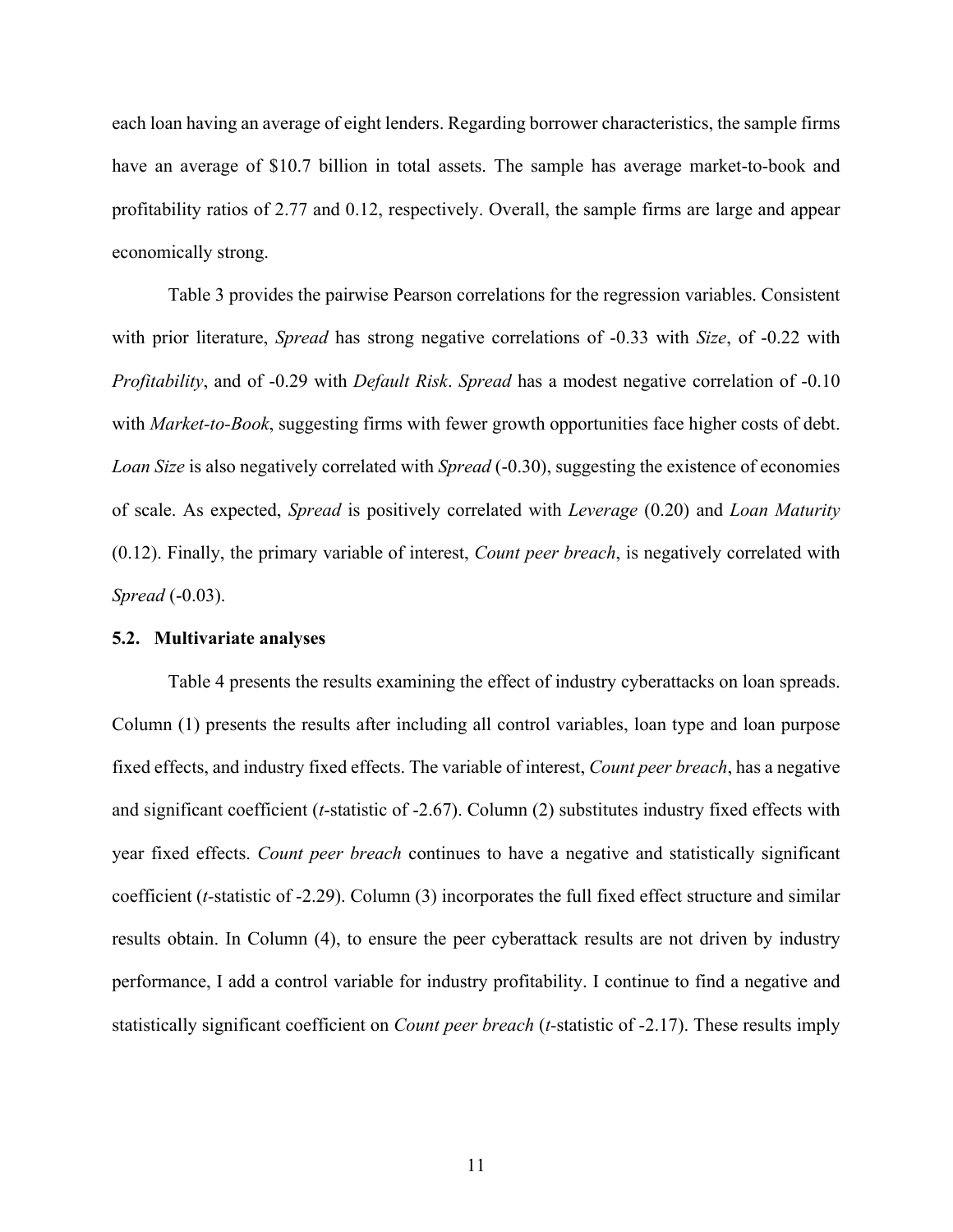each loan having an average of eight lenders. Regarding borrower characteristics, the sample firms have an average of \$10.7 billion in total assets. The sample has average market-to-book and profitability ratios of 2.77 and 0.12, respectively. Overall, the sample firms are large and appear economically strong.

Table 3 provides the pairwise Pearson correlations for the regression variables. Consistent with prior literature, *Spread* has strong negative correlations of -0.33 with *Size*, of -0.22 with *Profitability*, and of -0.29 with *Default Risk*. *Spread* has a modest negative correlation of -0.10 with *Market-to-Book*, suggesting firms with fewer growth opportunities face higher costs of debt. *Loan Size* is also negatively correlated with *Spread* (-0.30), suggesting the existence of economies of scale. As expected, *Spread* is positively correlated with *Leverage* (0.20) and *Loan Maturity*  (0.12). Finally, the primary variable of interest, *Count peer breach*, is negatively correlated with *Spread* (-0.03).

### **5.2. Multivariate analyses**

Table 4 presents the results examining the effect of industry cyberattacks on loan spreads. Column (1) presents the results after including all control variables, loan type and loan purpose fixed effects, and industry fixed effects. The variable of interest, *Count peer breach*, has a negative and significant coefficient (*t*-statistic of -2.67). Column (2) substitutes industry fixed effects with year fixed effects. *Count peer breach* continues to have a negative and statistically significant coefficient (*t-*statistic of -2.29). Column (3) incorporates the full fixed effect structure and similar results obtain. In Column (4), to ensure the peer cyberattack results are not driven by industry performance, I add a control variable for industry profitability. I continue to find a negative and statistically significant coefficient on *Count peer breach* (*t-*statistic of -2.17). These results imply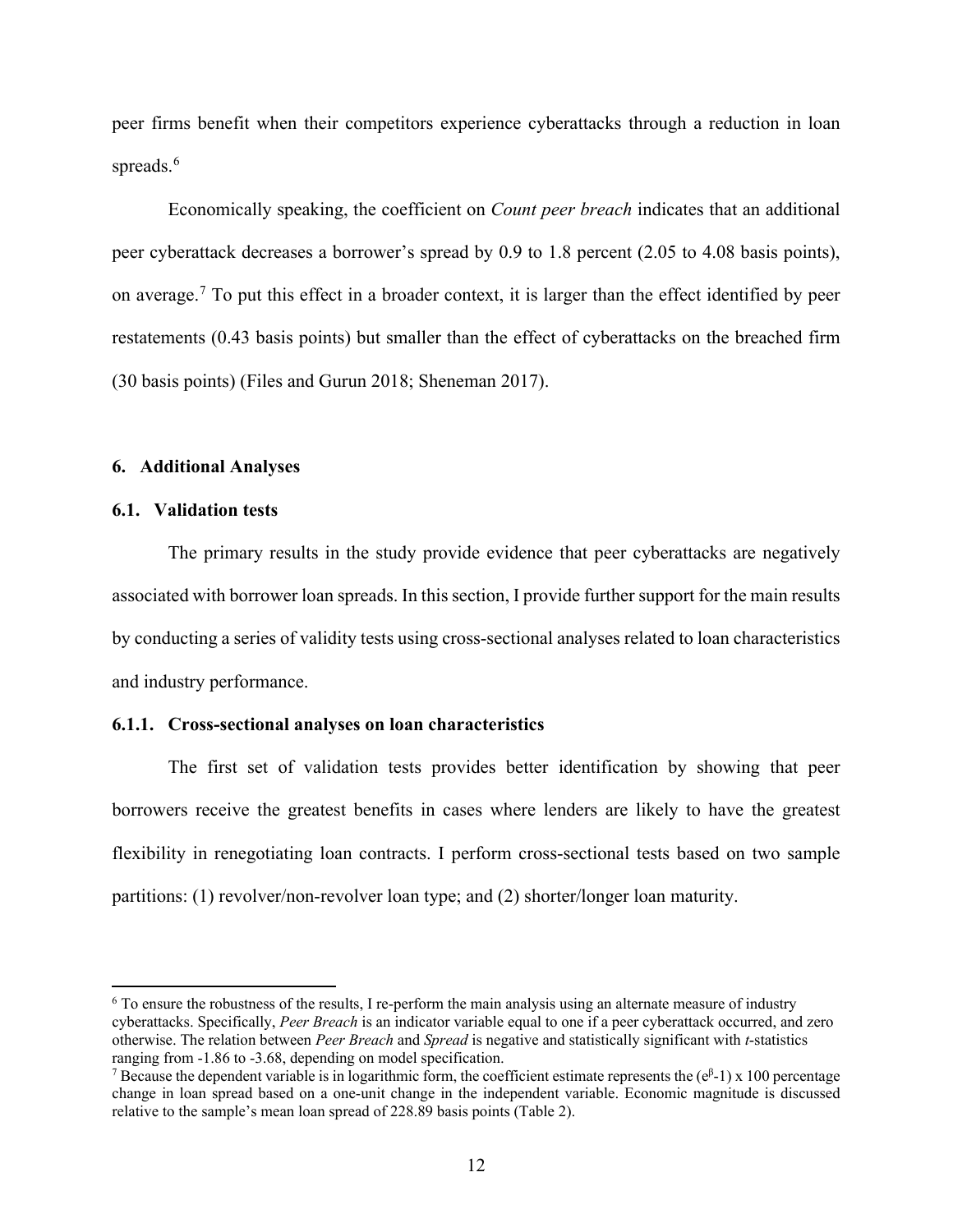peer firms benefit when their competitors experience cyberattacks through a reduction in loan spreads.<sup>[6](#page-12-0)</sup>

Economically speaking, the coefficient on *Count peer breach* indicates that an additional peer cyberattack decreases a borrower's spread by 0.9 to 1.8 percent (2.05 to 4.08 basis points), on average.<sup>[7](#page-12-1)</sup> To put this effect in a broader context, it is larger than the effect identified by peer restatements (0.43 basis points) but smaller than the effect of cyberattacks on the breached firm (30 basis points) (Files and Gurun 2018; Sheneman 2017).

# **6. Additional Analyses**

# **6.1. Validation tests**

The primary results in the study provide evidence that peer cyberattacks are negatively associated with borrower loan spreads. In this section, I provide further support for the main results by conducting a series of validity tests using cross-sectional analyses related to loan characteristics and industry performance.

# **6.1.1. Cross-sectional analyses on loan characteristics**

The first set of validation tests provides better identification by showing that peer borrowers receive the greatest benefits in cases where lenders are likely to have the greatest flexibility in renegotiating loan contracts. I perform cross-sectional tests based on two sample partitions: (1) revolver/non-revolver loan type; and (2) shorter/longer loan maturity.

<span id="page-12-0"></span><sup>6</sup> To ensure the robustness of the results, I re-perform the main analysis using an alternate measure of industry cyberattacks. Specifically, *Peer Breach* is an indicator variable equal to one if a peer cyberattack occurred, and zero otherwise. The relation between *Peer Breach* and *Spread* is negative and statistically significant with *t*-statistics ranging from -1.86 to -3.68, depending on model specification.

<span id="page-12-1"></span><sup>&</sup>lt;sup>7</sup> Because the dependent variable is in logarithmic form, the coefficient estimate represents the  $(e^{\beta-1}) \times 100$  percentage change in loan spread based on a one-unit change in the independent variable. Economic magnitude is discussed relative to the sample's mean loan spread of 228.89 basis points (Table 2).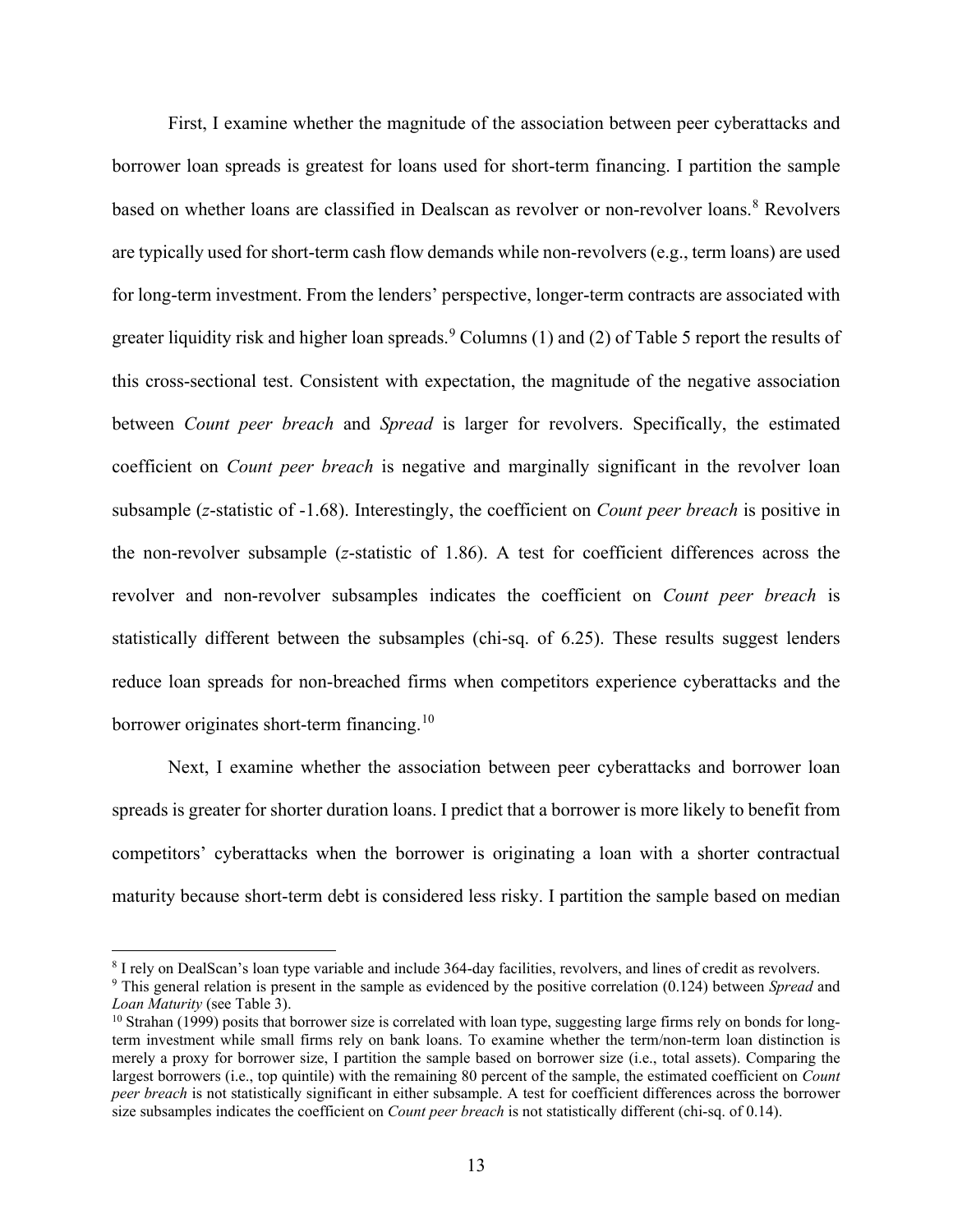First, I examine whether the magnitude of the association between peer cyberattacks and borrower loan spreads is greatest for loans used for short-term financing. I partition the sample based on whether loans are classified in Dealscan as revolver or non-revolver loans.<sup>[8](#page-13-0)</sup> Revolvers are typically used for short-term cash flow demands while non-revolvers (e.g., term loans) are used for long-term investment. From the lenders' perspective, longer-term contracts are associated with greater liquidity risk and higher loan spreads. <sup>[9](#page-13-1)</sup> Columns (1) and (2) of Table 5 report the results of this cross-sectional test. Consistent with expectation, the magnitude of the negative association between *Count peer breach* and *Spread* is larger for revolvers. Specifically, the estimated coefficient on *Count peer breach* is negative and marginally significant in the revolver loan subsample (*z*-statistic of -1.68). Interestingly, the coefficient on *Count peer breach* is positive in the non-revolver subsample (*z*-statistic of 1.86). A test for coefficient differences across the revolver and non-revolver subsamples indicates the coefficient on *Count peer breach* is statistically different between the subsamples (chi-sq. of 6.25). These results suggest lenders reduce loan spreads for non-breached firms when competitors experience cyberattacks and the borrower originates short-term financing.<sup>[10](#page-13-2)</sup>

Next, I examine whether the association between peer cyberattacks and borrower loan spreads is greater for shorter duration loans. I predict that a borrower is more likely to benefit from competitors' cyberattacks when the borrower is originating a loan with a shorter contractual maturity because short-term debt is considered less risky. I partition the sample based on median

<span id="page-13-0"></span><sup>8</sup> I rely on DealScan's loan type variable and include 364-day facilities, revolvers, and lines of credit as revolvers.

<span id="page-13-1"></span><sup>9</sup> This general relation is present in the sample as evidenced by the positive correlation (0.124) between *Spread* and *Loan Maturity* (see Table 3).

<span id="page-13-2"></span> $10$  Strahan (1999) posits that borrower size is correlated with loan type, suggesting large firms rely on bonds for longterm investment while small firms rely on bank loans. To examine whether the term/non-term loan distinction is merely a proxy for borrower size, I partition the sample based on borrower size (i.e., total assets). Comparing the largest borrowers (i.e., top quintile) with the remaining 80 percent of the sample, the estimated coefficient on *Count peer breach* is not statistically significant in either subsample. A test for coefficient differences across the borrower size subsamples indicates the coefficient on *Count peer breach* is not statistically different (chi-sq. of 0.14).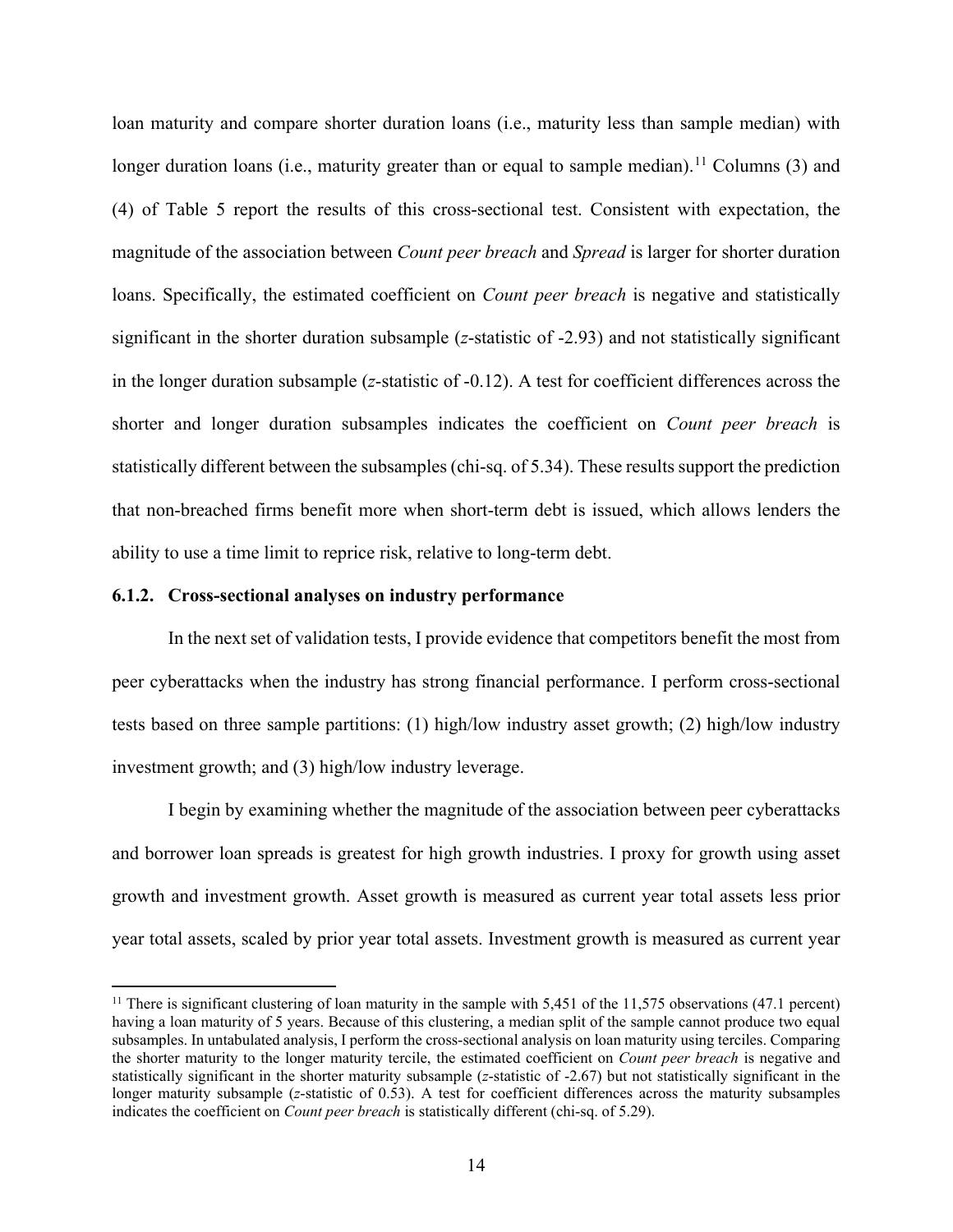loan maturity and compare shorter duration loans (i.e., maturity less than sample median) with longer duration loans (i.e., maturity greater than or equal to sample median).<sup>[11](#page-14-0)</sup> Columns (3) and (4) of Table 5 report the results of this cross-sectional test. Consistent with expectation, the magnitude of the association between *Count peer breach* and *Spread* is larger for shorter duration loans. Specifically, the estimated coefficient on *Count peer breach* is negative and statistically significant in the shorter duration subsample (*z*-statistic of -2.93) and not statistically significant in the longer duration subsample (*z*-statistic of -0.12). A test for coefficient differences across the shorter and longer duration subsamples indicates the coefficient on *Count peer breach* is statistically different between the subsamples (chi-sq. of 5.34). These results support the prediction that non-breached firms benefit more when short-term debt is issued, which allows lenders the ability to use a time limit to reprice risk, relative to long-term debt.

#### **6.1.2. Cross-sectional analyses on industry performance**

In the next set of validation tests, I provide evidence that competitors benefit the most from peer cyberattacks when the industry has strong financial performance. I perform cross-sectional tests based on three sample partitions: (1) high/low industry asset growth; (2) high/low industry investment growth; and (3) high/low industry leverage.

I begin by examining whether the magnitude of the association between peer cyberattacks and borrower loan spreads is greatest for high growth industries. I proxy for growth using asset growth and investment growth. Asset growth is measured as current year total assets less prior year total assets, scaled by prior year total assets. Investment growth is measured as current year

<span id="page-14-0"></span><sup>&</sup>lt;sup>11</sup> There is significant clustering of loan maturity in the sample with 5,451 of the  $11,575$  observations (47.1 percent) having a loan maturity of 5 years. Because of this clustering, a median split of the sample cannot produce two equal subsamples. In untabulated analysis, I perform the cross-sectional analysis on loan maturity using terciles. Comparing the shorter maturity to the longer maturity tercile, the estimated coefficient on *Count peer breach* is negative and statistically significant in the shorter maturity subsample (*z*-statistic of -2.67) but not statistically significant in the longer maturity subsample (*z*-statistic of 0.53). A test for coefficient differences across the maturity subsamples indicates the coefficient on *Count peer breach* is statistically different (chi-sq. of 5.29).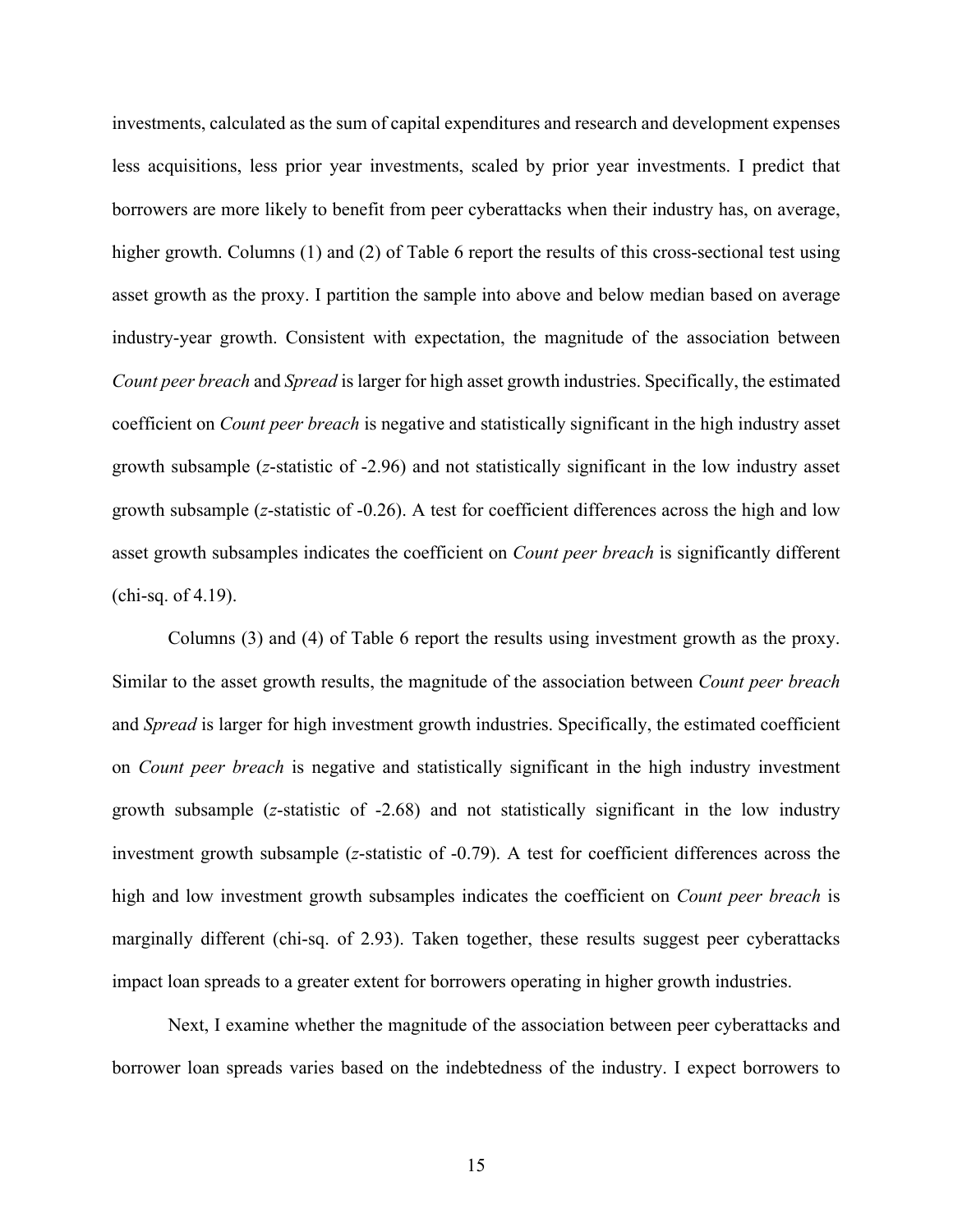investments, calculated as the sum of capital expenditures and research and development expenses less acquisitions, less prior year investments, scaled by prior year investments. I predict that borrowers are more likely to benefit from peer cyberattacks when their industry has, on average, higher growth. Columns (1) and (2) of Table 6 report the results of this cross-sectional test using asset growth as the proxy. I partition the sample into above and below median based on average industry-year growth. Consistent with expectation, the magnitude of the association between *Count peer breach* and *Spread* is larger for high asset growth industries. Specifically, the estimated coefficient on *Count peer breach* is negative and statistically significant in the high industry asset growth subsample (*z*-statistic of -2.96) and not statistically significant in the low industry asset growth subsample (*z*-statistic of -0.26). A test for coefficient differences across the high and low asset growth subsamples indicates the coefficient on *Count peer breach* is significantly different (chi-sq. of 4.19).

Columns (3) and (4) of Table 6 report the results using investment growth as the proxy. Similar to the asset growth results, the magnitude of the association between *Count peer breach* and *Spread* is larger for high investment growth industries. Specifically, the estimated coefficient on *Count peer breach* is negative and statistically significant in the high industry investment growth subsample (*z*-statistic of -2.68) and not statistically significant in the low industry investment growth subsample (*z*-statistic of -0.79). A test for coefficient differences across the high and low investment growth subsamples indicates the coefficient on *Count peer breach* is marginally different (chi-sq. of 2.93). Taken together, these results suggest peer cyberattacks impact loan spreads to a greater extent for borrowers operating in higher growth industries.

Next, I examine whether the magnitude of the association between peer cyberattacks and borrower loan spreads varies based on the indebtedness of the industry. I expect borrowers to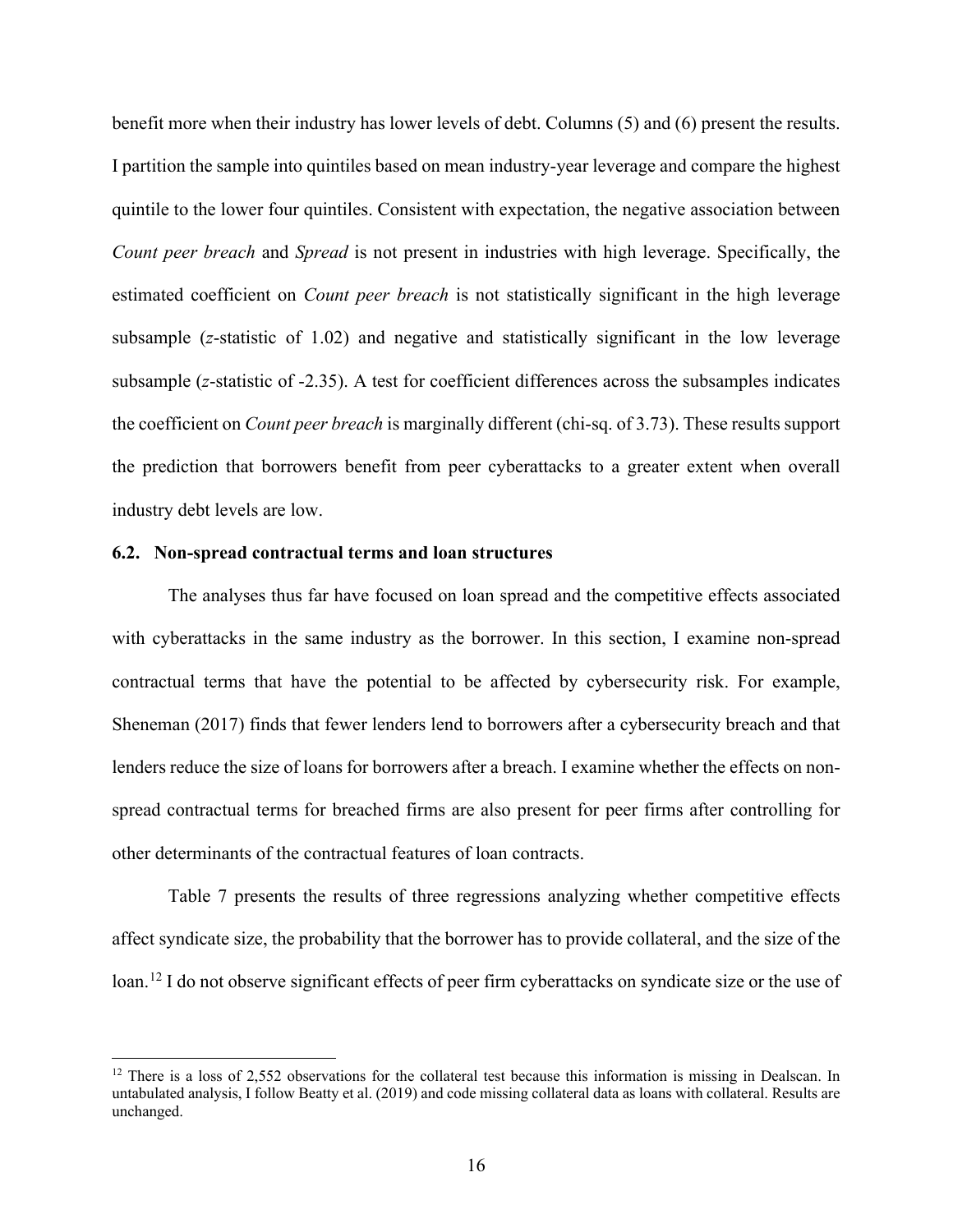benefit more when their industry has lower levels of debt. Columns (5) and (6) present the results. I partition the sample into quintiles based on mean industry-year leverage and compare the highest quintile to the lower four quintiles. Consistent with expectation, the negative association between *Count peer breach* and *Spread* is not present in industries with high leverage. Specifically, the estimated coefficient on *Count peer breach* is not statistically significant in the high leverage subsample (*z*-statistic of 1.02) and negative and statistically significant in the low leverage subsample (*z*-statistic of -2.35). A test for coefficient differences across the subsamples indicates the coefficient on *Count peer breach* is marginally different (chi-sq. of 3.73). These results support the prediction that borrowers benefit from peer cyberattacks to a greater extent when overall industry debt levels are low.

# **6.2. Non-spread contractual terms and loan structures**

The analyses thus far have focused on loan spread and the competitive effects associated with cyberattacks in the same industry as the borrower. In this section, I examine non-spread contractual terms that have the potential to be affected by cybersecurity risk. For example, Sheneman (2017) finds that fewer lenders lend to borrowers after a cybersecurity breach and that lenders reduce the size of loans for borrowers after a breach. I examine whether the effects on nonspread contractual terms for breached firms are also present for peer firms after controlling for other determinants of the contractual features of loan contracts.

Table 7 presents the results of three regressions analyzing whether competitive effects affect syndicate size, the probability that the borrower has to provide collateral, and the size of the loan.<sup>[12](#page-16-0)</sup> I do not observe significant effects of peer firm cyberattacks on syndicate size or the use of

<span id="page-16-0"></span> $12$  There is a loss of 2,552 observations for the collateral test because this information is missing in Dealscan. In untabulated analysis, I follow Beatty et al. (2019) and code missing collateral data as loans with collateral. Results are unchanged.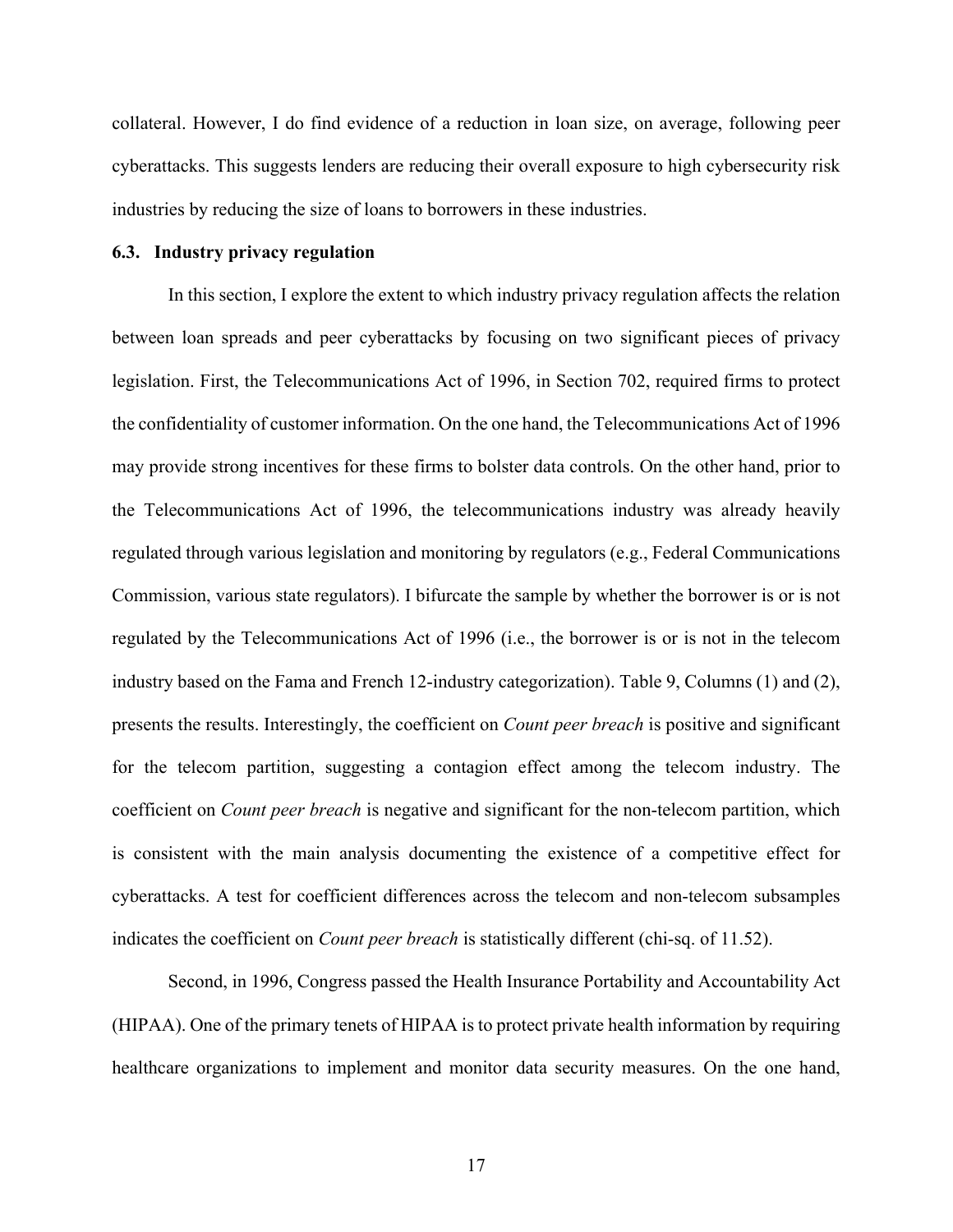collateral. However, I do find evidence of a reduction in loan size, on average, following peer cyberattacks. This suggests lenders are reducing their overall exposure to high cybersecurity risk industries by reducing the size of loans to borrowers in these industries.

# **6.3. Industry privacy regulation**

In this section, I explore the extent to which industry privacy regulation affects the relation between loan spreads and peer cyberattacks by focusing on two significant pieces of privacy legislation. First, the Telecommunications Act of 1996, in Section 702, required firms to protect the confidentiality of customer information. On the one hand, the Telecommunications Act of 1996 may provide strong incentives for these firms to bolster data controls. On the other hand, prior to the Telecommunications Act of 1996, the telecommunications industry was already heavily regulated through various legislation and monitoring by regulators (e.g., Federal Communications Commission, various state regulators). I bifurcate the sample by whether the borrower is or is not regulated by the Telecommunications Act of 1996 (i.e., the borrower is or is not in the telecom industry based on the Fama and French 12-industry categorization). Table 9, Columns (1) and (2), presents the results. Interestingly, the coefficient on *Count peer breach* is positive and significant for the telecom partition, suggesting a contagion effect among the telecom industry. The coefficient on *Count peer breach* is negative and significant for the non-telecom partition, which is consistent with the main analysis documenting the existence of a competitive effect for cyberattacks. A test for coefficient differences across the telecom and non-telecom subsamples indicates the coefficient on *Count peer breach* is statistically different (chi-sq. of 11.52).

Second, in 1996, Congress passed the Health Insurance Portability and Accountability Act (HIPAA). One of the primary tenets of HIPAA is to protect private health information by requiring healthcare organizations to implement and monitor data security measures. On the one hand,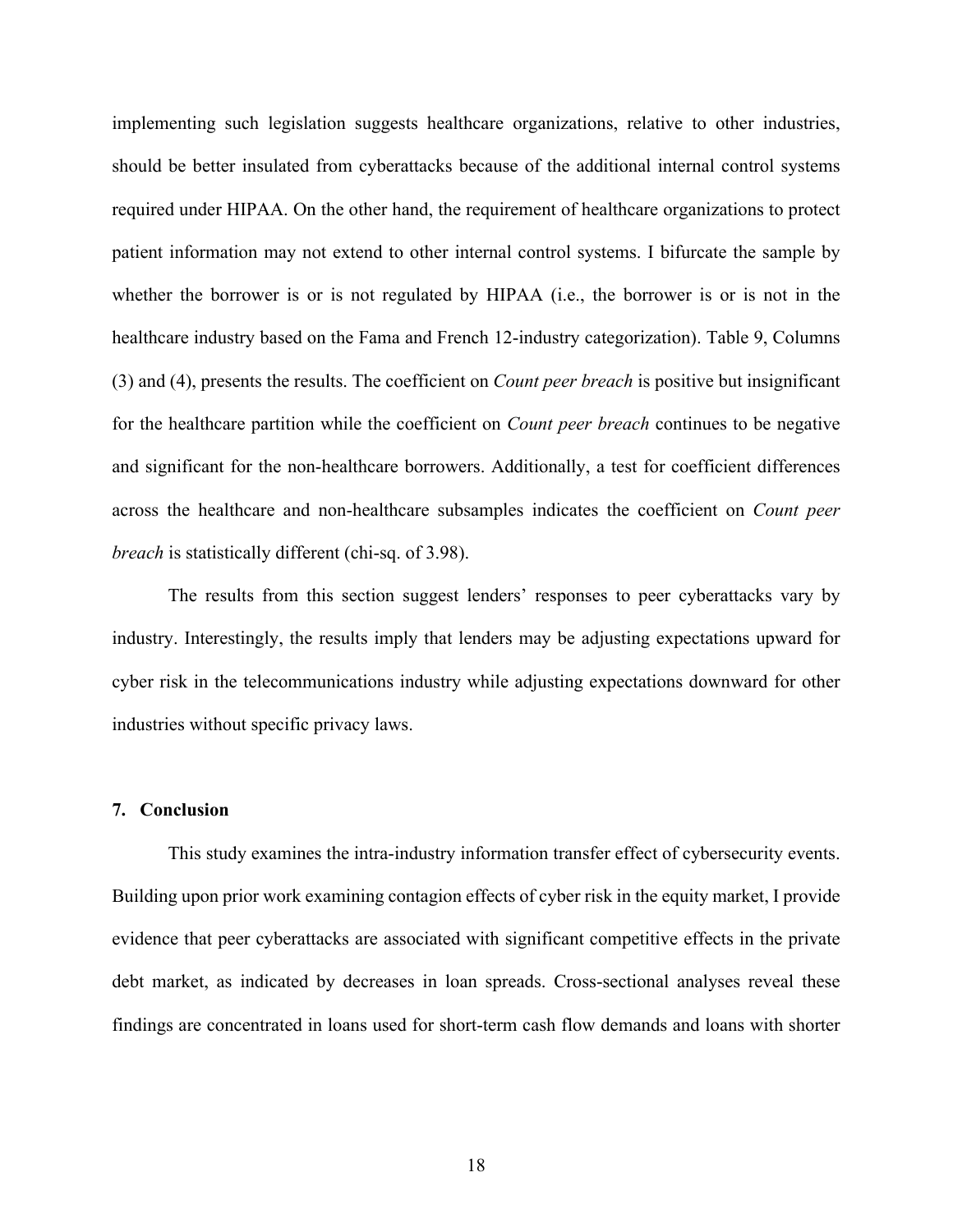implementing such legislation suggests healthcare organizations, relative to other industries, should be better insulated from cyberattacks because of the additional internal control systems required under HIPAA. On the other hand, the requirement of healthcare organizations to protect patient information may not extend to other internal control systems. I bifurcate the sample by whether the borrower is or is not regulated by HIPAA (i.e., the borrower is or is not in the healthcare industry based on the Fama and French 12-industry categorization). Table 9, Columns (3) and (4), presents the results. The coefficient on *Count peer breach* is positive but insignificant for the healthcare partition while the coefficient on *Count peer breach* continues to be negative and significant for the non-healthcare borrowers. Additionally, a test for coefficient differences across the healthcare and non-healthcare subsamples indicates the coefficient on *Count peer breach* is statistically different (chi-sq. of 3.98).

The results from this section suggest lenders' responses to peer cyberattacks vary by industry. Interestingly, the results imply that lenders may be adjusting expectations upward for cyber risk in the telecommunications industry while adjusting expectations downward for other industries without specific privacy laws.

# **7. Conclusion**

This study examines the intra-industry information transfer effect of cybersecurity events. Building upon prior work examining contagion effects of cyber risk in the equity market, I provide evidence that peer cyberattacks are associated with significant competitive effects in the private debt market, as indicated by decreases in loan spreads. Cross-sectional analyses reveal these findings are concentrated in loans used for short-term cash flow demands and loans with shorter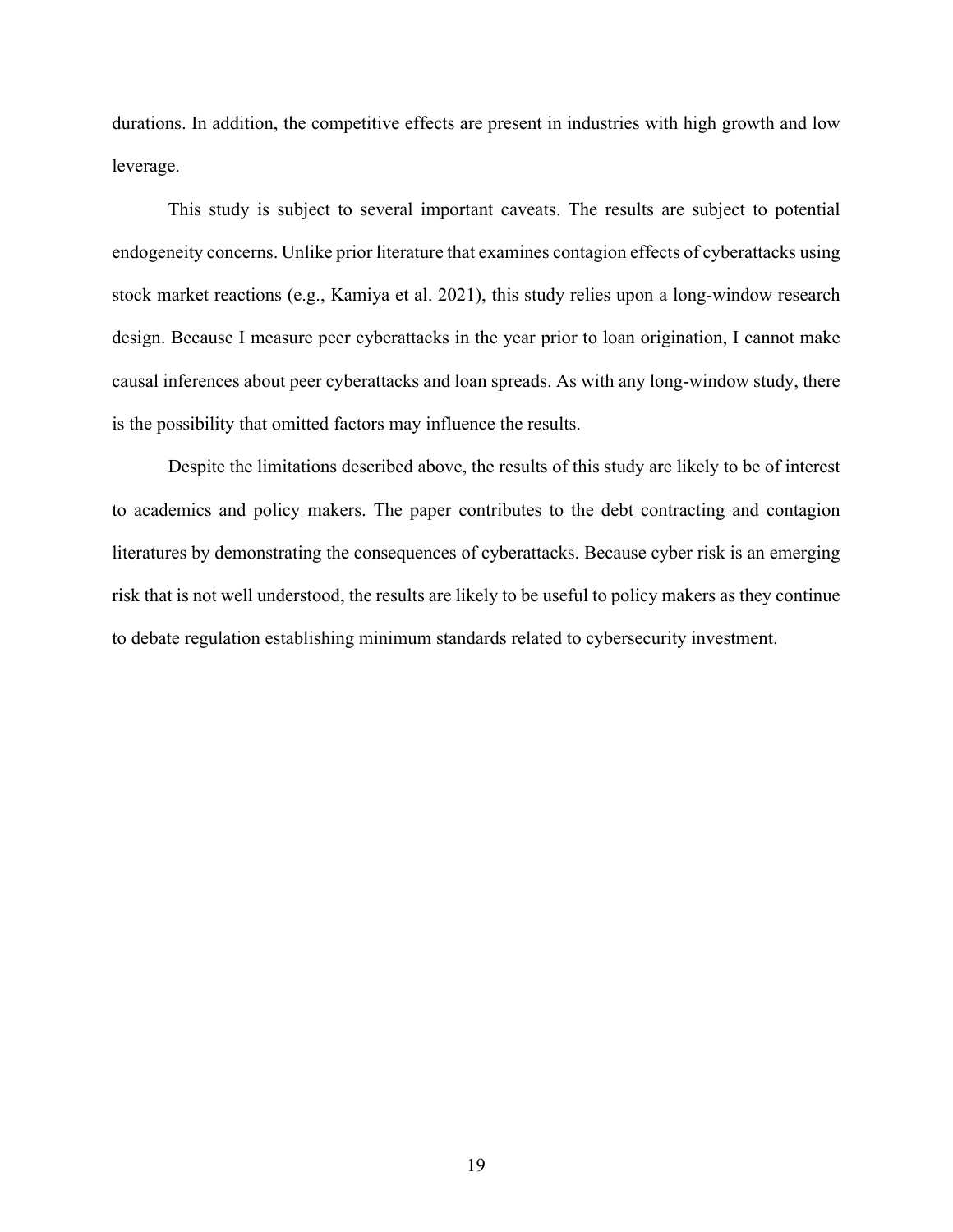durations. In addition, the competitive effects are present in industries with high growth and low leverage.

This study is subject to several important caveats. The results are subject to potential endogeneity concerns. Unlike prior literature that examines contagion effects of cyberattacks using stock market reactions (e.g., Kamiya et al. 2021), this study relies upon a long-window research design. Because I measure peer cyberattacks in the year prior to loan origination, I cannot make causal inferences about peer cyberattacks and loan spreads. As with any long-window study, there is the possibility that omitted factors may influence the results.

Despite the limitations described above, the results of this study are likely to be of interest to academics and policy makers. The paper contributes to the debt contracting and contagion literatures by demonstrating the consequences of cyberattacks. Because cyber risk is an emerging risk that is not well understood, the results are likely to be useful to policy makers as they continue to debate regulation establishing minimum standards related to cybersecurity investment.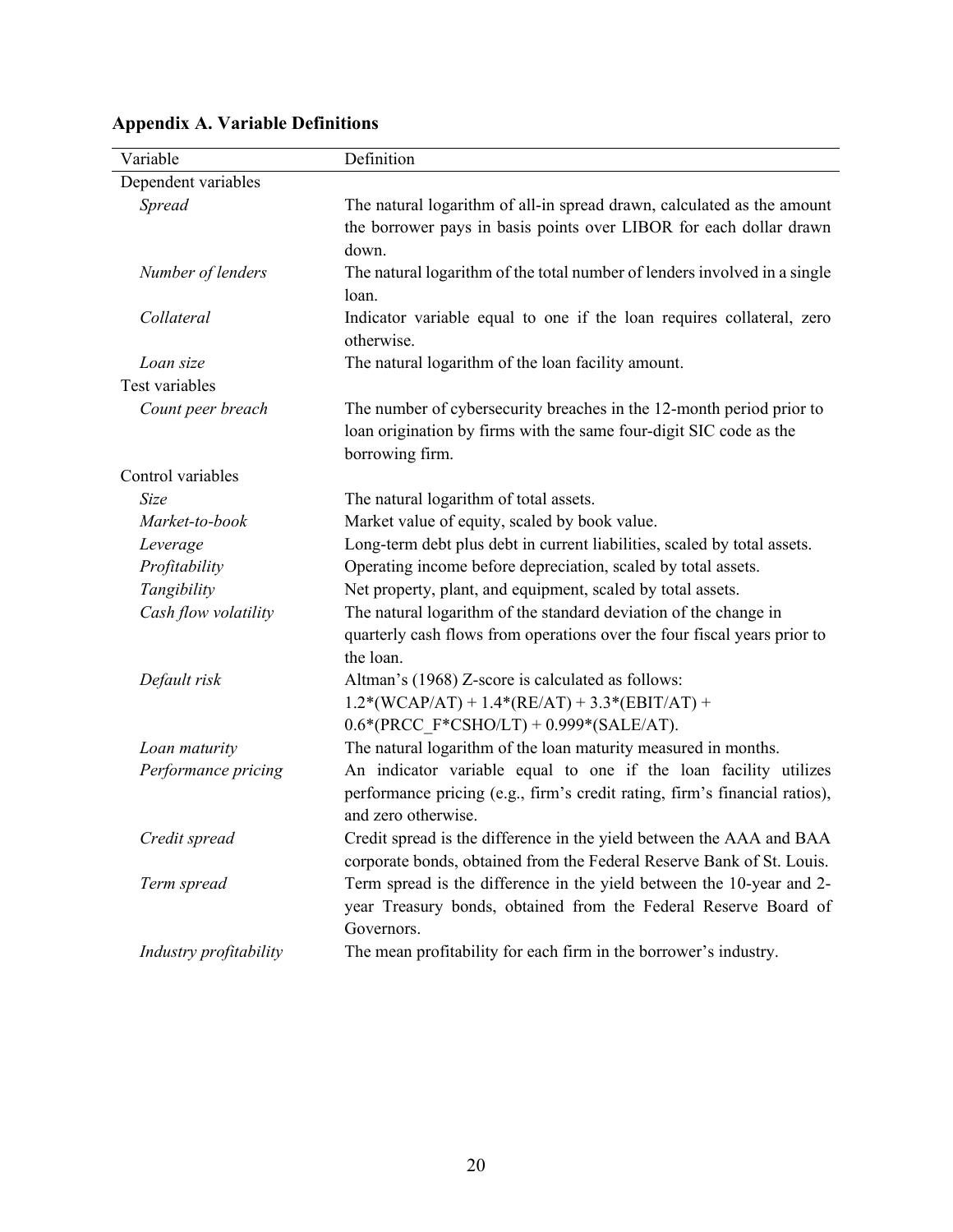| Variable               | Definition                                                                                                                                                            |
|------------------------|-----------------------------------------------------------------------------------------------------------------------------------------------------------------------|
| Dependent variables    |                                                                                                                                                                       |
| <b>Spread</b>          | The natural logarithm of all-in spread drawn, calculated as the amount<br>the borrower pays in basis points over LIBOR for each dollar drawn<br>down.                 |
| Number of lenders      | The natural logarithm of the total number of lenders involved in a single<br>loan.                                                                                    |
| Collateral             | Indicator variable equal to one if the loan requires collateral, zero<br>otherwise.                                                                                   |
| Loan size              | The natural logarithm of the loan facility amount.                                                                                                                    |
| Test variables         |                                                                                                                                                                       |
| Count peer breach      | The number of cybersecurity breaches in the 12-month period prior to<br>loan origination by firms with the same four-digit SIC code as the<br>borrowing firm.         |
| Control variables      |                                                                                                                                                                       |
| Size                   | The natural logarithm of total assets.                                                                                                                                |
| Market-to-book         | Market value of equity, scaled by book value.                                                                                                                         |
| Leverage               | Long-term debt plus debt in current liabilities, scaled by total assets.                                                                                              |
| Profitability          | Operating income before depreciation, scaled by total assets.                                                                                                         |
| Tangibility            | Net property, plant, and equipment, scaled by total assets.                                                                                                           |
| Cash flow volatility   | The natural logarithm of the standard deviation of the change in<br>quarterly cash flows from operations over the four fiscal years prior to<br>the loan.             |
| Default risk           | Altman's (1968) Z-score is calculated as follows:                                                                                                                     |
|                        | $1.2*(WCAP/AT) + 1.4*(RE/AT) + 3.3*(EBIT/AT) +$                                                                                                                       |
|                        | $0.6*(\text{PRCC F*CSHO/LT}) + 0.999*(\text{SALE/AT}).$                                                                                                               |
| Loan maturity          | The natural logarithm of the loan maturity measured in months.                                                                                                        |
| Performance pricing    | An indicator variable equal to one if the loan facility utilizes<br>performance pricing (e.g., firm's credit rating, firm's financial ratios),<br>and zero otherwise. |
| Credit spread          | Credit spread is the difference in the yield between the AAA and BAA<br>corporate bonds, obtained from the Federal Reserve Bank of St. Louis.                         |
| Term spread            | Term spread is the difference in the yield between the 10-year and 2-<br>year Treasury bonds, obtained from the Federal Reserve Board of<br>Governors.                |
| Industry profitability | The mean profitability for each firm in the borrower's industry.                                                                                                      |

# **Appendix A. Variable Definitions**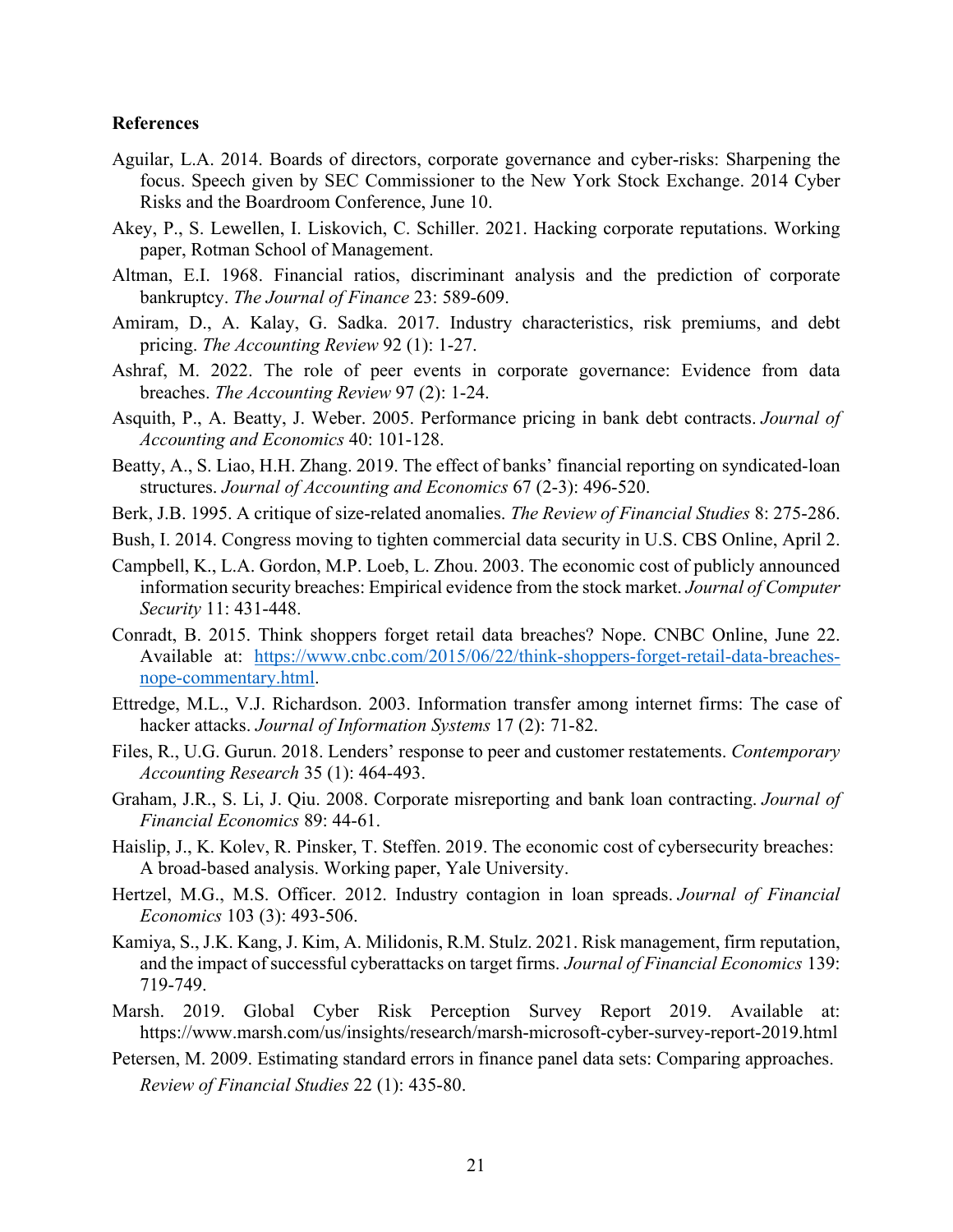### **References**

- Aguilar, L.A. 2014. Boards of directors, corporate governance and cyber-risks: Sharpening the focus. Speech given by SEC Commissioner to the New York Stock Exchange. 2014 Cyber Risks and the Boardroom Conference, June 10.
- Akey, P., S. Lewellen, I. Liskovich, C. Schiller. 2021. Hacking corporate reputations. Working paper, Rotman School of Management.
- Altman, E.I. 1968. Financial ratios, discriminant analysis and the prediction of corporate bankruptcy. *The Journal of Finance* 23: 589-609.
- Amiram, D., A. Kalay, G. Sadka. 2017. Industry characteristics, risk premiums, and debt pricing. *The Accounting Review* 92 (1): 1-27.
- Ashraf, M. 2022. The role of peer events in corporate governance: Evidence from data breaches. *The Accounting Review* 97 (2): 1-24.
- Asquith, P., A. Beatty, J. Weber. 2005. Performance pricing in bank debt contracts. *Journal of Accounting and Economics* 40: 101-128.
- Beatty, A., S. Liao, H.H. Zhang. 2019. The effect of banks' financial reporting on syndicated-loan structures. *Journal of Accounting and Economics* 67 (2-3): 496-520.
- Berk, J.B. 1995. A critique of size-related anomalies. *The Review of Financial Studies* 8: 275-286.
- Bush, I. 2014. Congress moving to tighten commercial data security in U.S. CBS Online, April 2.
- Campbell, K., L.A. Gordon, M.P. Loeb, L. Zhou. 2003. The economic cost of publicly announced information security breaches: Empirical evidence from the stock market. *Journal of Computer Security* 11: 431-448.
- Conradt, B. 2015. Think shoppers forget retail data breaches? Nope. CNBC Online, June 22. Available at: [https://www.cnbc.com/2015/06/22/think-shoppers-forget-retail-data-breaches](https://www.cnbc.com/2015/06/22/think-shoppers-forget-retail-data-breaches-nope-commentary.html)[nope-commentary.html.](https://www.cnbc.com/2015/06/22/think-shoppers-forget-retail-data-breaches-nope-commentary.html)
- Ettredge, M.L., V.J. Richardson. 2003. Information transfer among internet firms: The case of hacker attacks. *Journal of Information Systems* 17 (2): 71-82.
- Files, R., U.G. Gurun. 2018. Lenders' response to peer and customer restatements. *Contemporary Accounting Research* 35 (1): 464-493.
- Graham, J.R., S. Li, J. Qiu. 2008. Corporate misreporting and bank loan contracting. *Journal of Financial Economics* 89: 44-61.
- Haislip, J., K. Kolev, R. Pinsker, T. Steffen. 2019. The economic cost of cybersecurity breaches: A broad-based analysis. Working paper, Yale University.
- Hertzel, M.G., M.S. Officer. 2012. Industry contagion in loan spreads. *Journal of Financial Economics* 103 (3): 493-506.
- Kamiya, S., J.K. Kang, J. Kim, A. Milidonis, R.M. Stulz. 2021. Risk management, firm reputation, and the impact of successful cyberattacks on target firms. *Journal of Financial Economics* 139: 719-749.
- Marsh. 2019. Global Cyber Risk Perception Survey Report 2019. Available at: https://www.marsh.com/us/insights/research/marsh-microsoft-cyber-survey-report-2019.html
- Petersen, M. 2009. Estimating standard errors in finance panel data sets: Comparing approaches. *Review of Financial Studies* 22 (1): 435-80.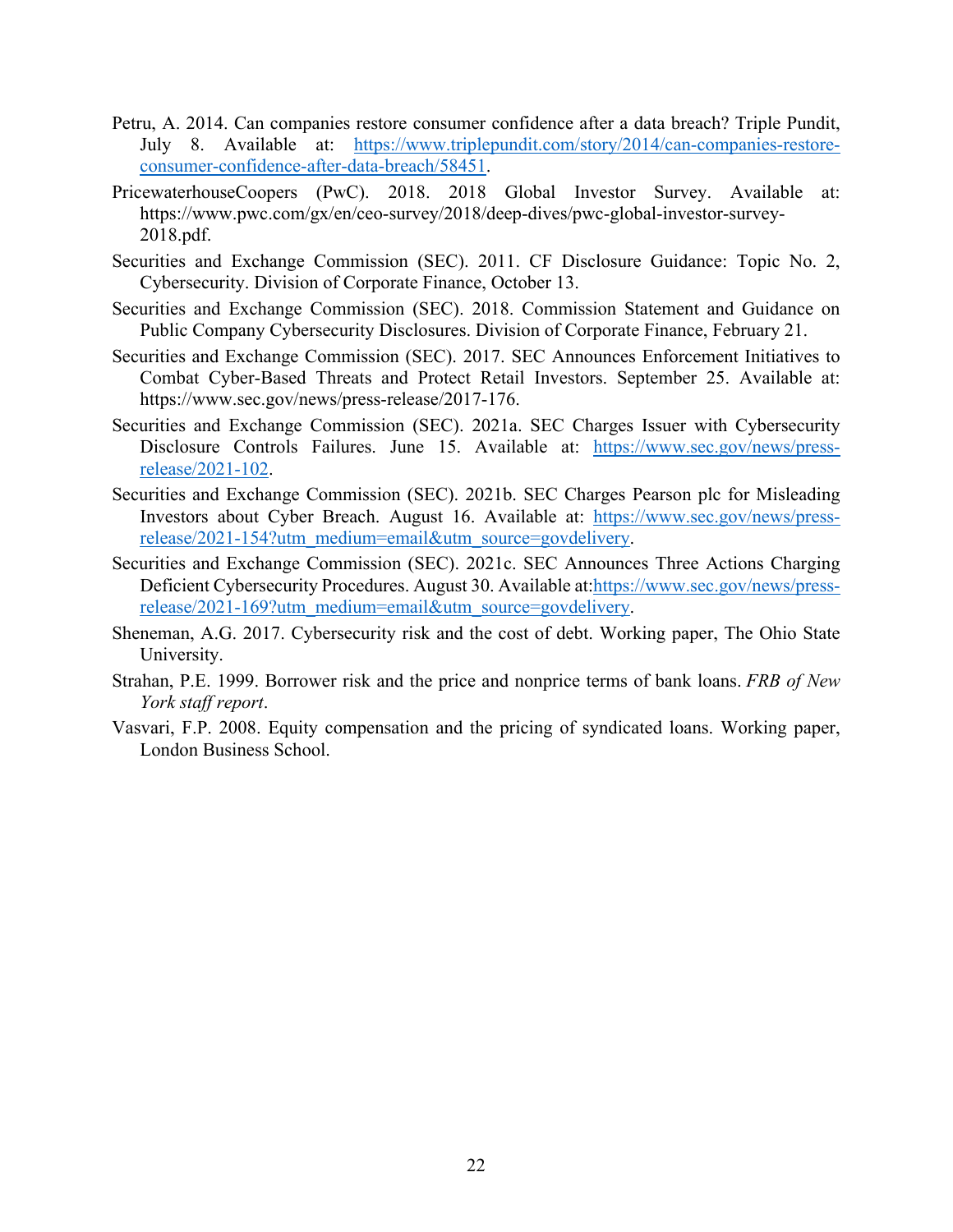- Petru, A. 2014. Can companies restore consumer confidence after a data breach? Triple Pundit, July 8. Available at: [https://www.triplepundit.com/story/2014/can-companies-restore](https://www.triplepundit.com/story/2014/can-companies-restore-consumer-confidence-after-data-breach/58451)[consumer-confidence-after-data-breach/58451.](https://www.triplepundit.com/story/2014/can-companies-restore-consumer-confidence-after-data-breach/58451)
- PricewaterhouseCoopers (PwC). 2018. 2018 Global Investor Survey. Available at: https://www.pwc.com/gx/en/ceo-survey/2018/deep-dives/pwc-global-investor-survey-2018.pdf.
- Securities and Exchange Commission (SEC). 2011. CF Disclosure Guidance: Topic No. 2, Cybersecurity. Division of Corporate Finance, October 13.
- Securities and Exchange Commission (SEC). 2018. Commission Statement and Guidance on Public Company Cybersecurity Disclosures. Division of Corporate Finance, February 21.
- Securities and Exchange Commission (SEC). 2017. SEC Announces Enforcement Initiatives to Combat Cyber-Based Threats and Protect Retail Investors. September 25. Available at: https://www.sec.gov/news/press-release/2017-176.
- Securities and Exchange Commission (SEC). 2021a. SEC Charges Issuer with Cybersecurity Disclosure Controls Failures. June 15. Available at: [https://www.sec.gov/news/press](https://www.sec.gov/news/press-release/2021-102)[release/2021-102.](https://www.sec.gov/news/press-release/2021-102)
- Securities and Exchange Commission (SEC). 2021b. SEC Charges Pearson plc for Misleading Investors about Cyber Breach. August 16. Available at: [https://www.sec.gov/news/press](https://www.sec.gov/news/press-release/2021-154?utm_medium=email&utm_source=govdelivery)[release/2021-154?utm\\_medium=email&utm\\_source=govdelivery.](https://www.sec.gov/news/press-release/2021-154?utm_medium=email&utm_source=govdelivery)
- Securities and Exchange Commission (SEC). 2021c. SEC Announces Three Actions Charging Deficient Cybersecurity Procedures. August 30. Available at[:https://www.sec.gov/news/press](https://www.sec.gov/news/press-release/2021-169?utm_medium=email&utm_source=govdelivery)[release/2021-169?utm\\_medium=email&utm\\_source=govdelivery.](https://www.sec.gov/news/press-release/2021-169?utm_medium=email&utm_source=govdelivery)
- Sheneman, A.G. 2017. Cybersecurity risk and the cost of debt. Working paper, The Ohio State University.
- Strahan, P.E. 1999. Borrower risk and the price and nonprice terms of bank loans. *FRB of New York staff report*.
- Vasvari, F.P. 2008. Equity compensation and the pricing of syndicated loans. Working paper, London Business School.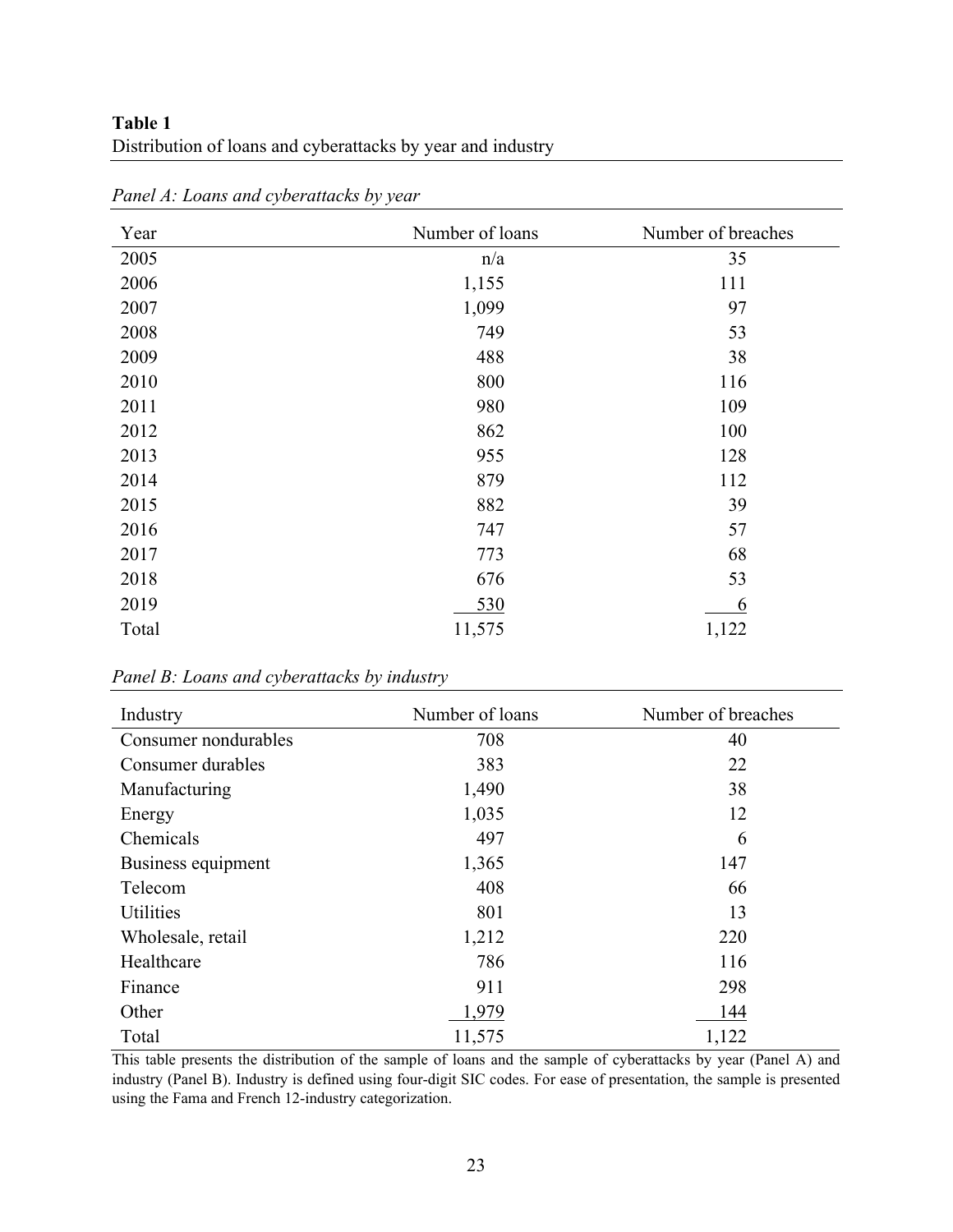# **Table 1** Distribution of loans and cyberattacks by year and industry

| Year  | Number of loans | Number of breaches |
|-------|-----------------|--------------------|
| 2005  | n/a             | 35                 |
| 2006  | 1,155           | 111                |
| 2007  | 1,099           | 97                 |
| 2008  | 749             | 53                 |
| 2009  | 488             | 38                 |
| 2010  | 800             | 116                |
| 2011  | 980             | 109                |
| 2012  | 862             | 100                |
| 2013  | 955             | 128                |
| 2014  | 879             | 112                |
| 2015  | 882             | 39                 |
| 2016  | 747             | 57                 |
| 2017  | 773             | 68                 |
| 2018  | 676             | 53                 |
| 2019  | 530             | 6                  |
| Total | 11,575          | 1,122              |

*Panel A: Loans and cyberattacks by year*

*Panel B: Loans and cyberattacks by industry* 

| Industry             | Number of loans | Number of breaches |
|----------------------|-----------------|--------------------|
| Consumer nondurables | 708             | 40                 |
| Consumer durables    | 383             | 22                 |
| Manufacturing        | 1,490           | 38                 |
| Energy               | 1,035           | 12                 |
| Chemicals            | 497             | 6                  |
| Business equipment   | 1,365           | 147                |
| Telecom              | 408             | 66                 |
| <b>Utilities</b>     | 801             | 13                 |
| Wholesale, retail    | 1,212           | 220                |
| Healthcare           | 786             | 116                |
| Finance              | 911             | 298                |
| Other                | 1,979           | 144                |
| Total                | 11,575          | 1,122              |

This table presents the distribution of the sample of loans and the sample of cyberattacks by year (Panel A) and industry (Panel B). Industry is defined using four-digit SIC codes. For ease of presentation, the sample is presented using the Fama and French 12-industry categorization.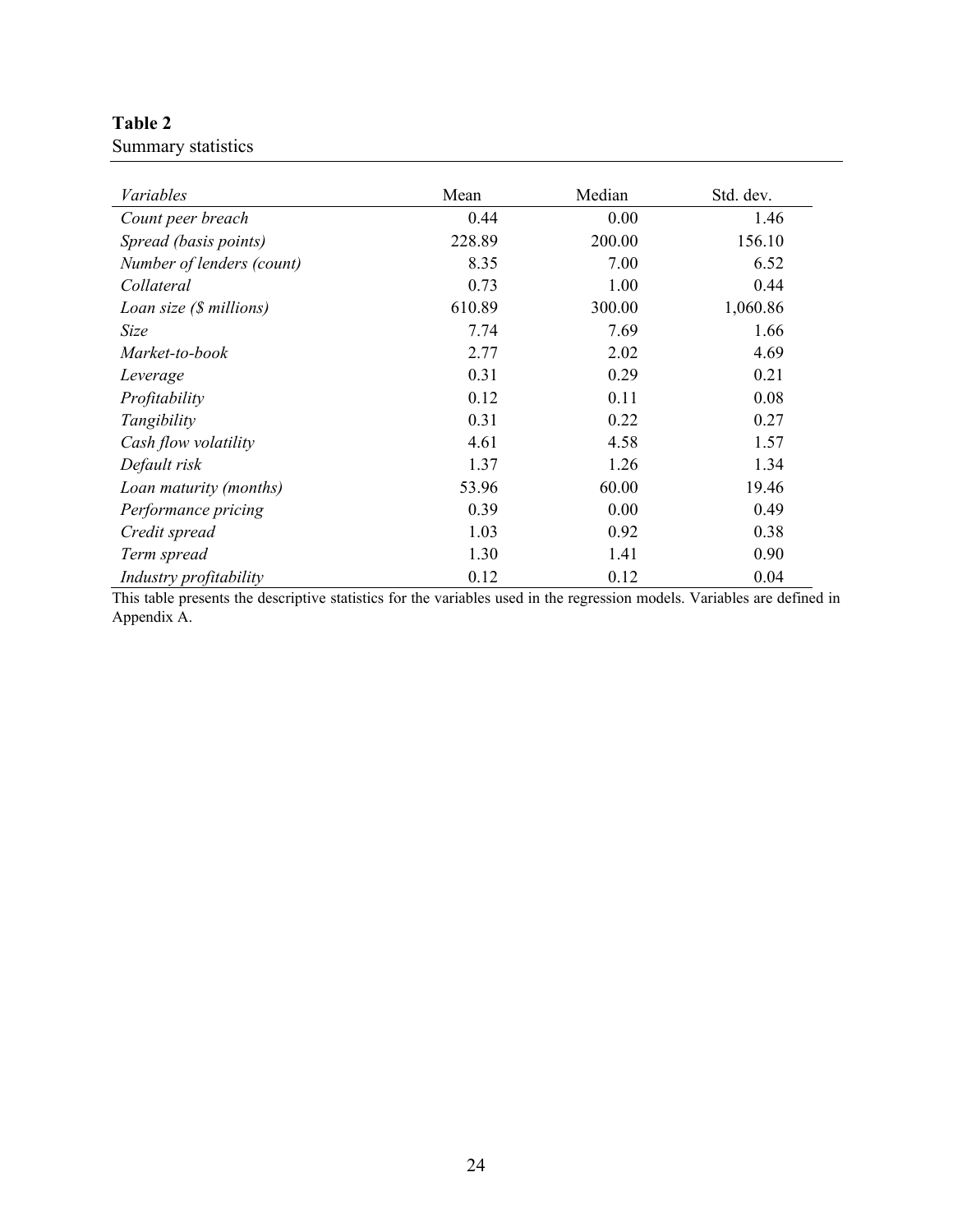# **Table 2**

Summary statistics

| Variables                 | Mean   | Median | Std. dev. |
|---------------------------|--------|--------|-----------|
| Count peer breach         | 0.44   | 0.00   | 1.46      |
| Spread (basis points)     | 228.89 | 200.00 | 156.10    |
| Number of lenders (count) | 8.35   | 7.00   | 6.52      |
| Collateral                | 0.73   | 1.00   | 0.44      |
| Loan size (\$ millions)   | 610.89 | 300.00 | 1,060.86  |
| Size                      | 7.74   | 7.69   | 1.66      |
| Market-to-book            | 2.77   | 2.02   | 4.69      |
| Leverage                  | 0.31   | 0.29   | 0.21      |
| Profitability             | 0.12   | 0.11   | 0.08      |
| Tangibility               | 0.31   | 0.22   | 0.27      |
| Cash flow volatility      | 4.61   | 4.58   | 1.57      |
| Default risk              | 1.37   | 1.26   | 1.34      |
| Loan maturity (months)    | 53.96  | 60.00  | 19.46     |
| Performance pricing       | 0.39   | 0.00   | 0.49      |
| Credit spread             | 1.03   | 0.92   | 0.38      |
| Term spread               | 1.30   | 1.41   | 0.90      |
| Industry profitability    | 0.12   | 0.12   | 0.04      |

This table presents the descriptive statistics for the variables used in the regression models. Variables are defined in Appendix A.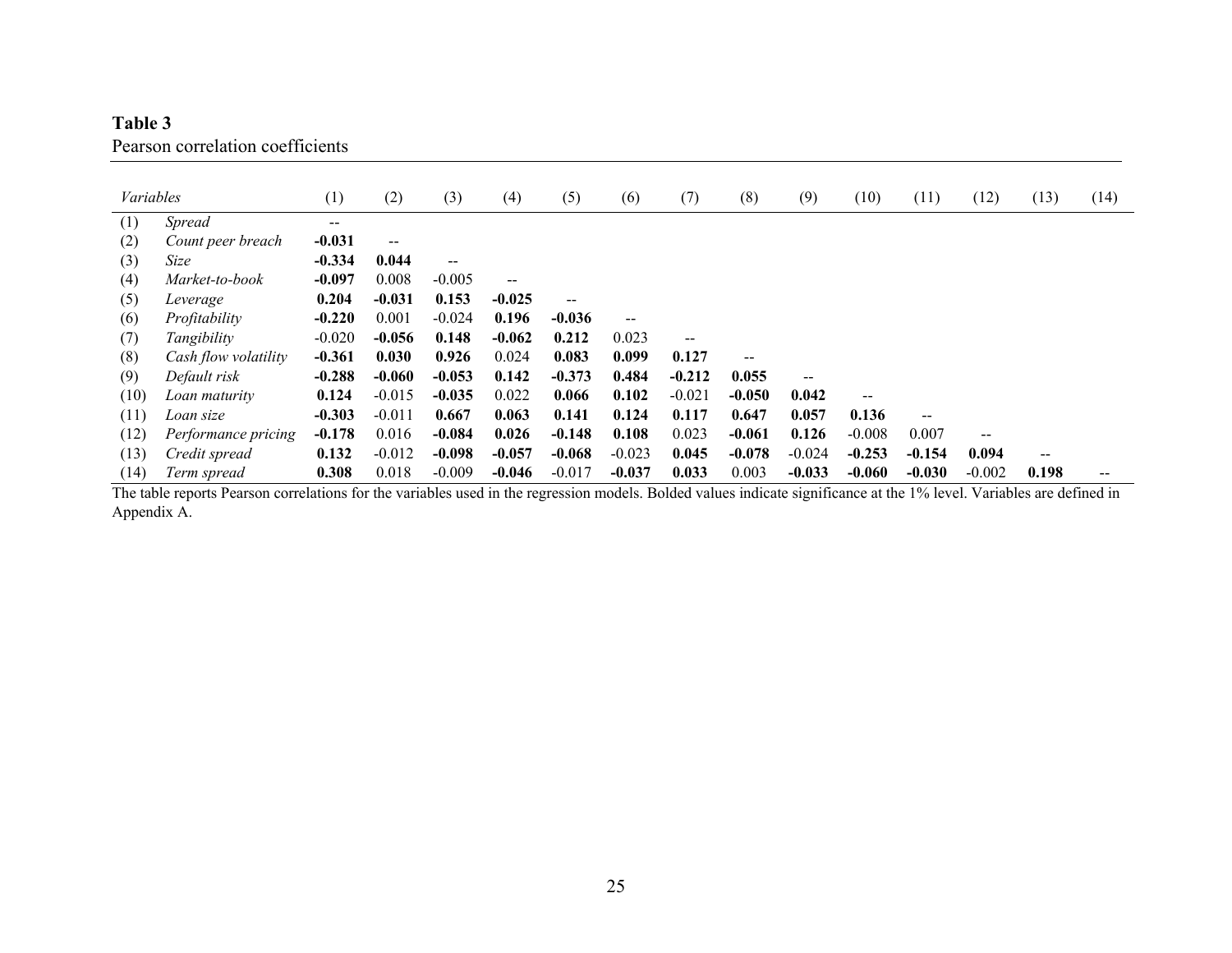# **Table 3**  Pearson correlation coefficients

| Variables |                      | (1)      | (2)                                   | (3)      | (4)      | (5)                      | (6)      | (7)                      | (8)      | (9)      | (10)     | (11)                                  | (12)     | (13)  | (14) |
|-----------|----------------------|----------|---------------------------------------|----------|----------|--------------------------|----------|--------------------------|----------|----------|----------|---------------------------------------|----------|-------|------|
| (1)       | <b>Spread</b>        | $--$     |                                       |          |          |                          |          |                          |          |          |          |                                       |          |       |      |
| (2)       | Count peer breach    | $-0.031$ | $\hspace{0.05cm}$ – $\hspace{0.05cm}$ |          |          |                          |          |                          |          |          |          |                                       |          |       |      |
| (3)       | Size                 | $-0.334$ | 0.044                                 | $-$      |          |                          |          |                          |          |          |          |                                       |          |       |      |
| (4)       | Market-to-book       | $-0.097$ | 0.008                                 | $-0.005$ | $- -$    |                          |          |                          |          |          |          |                                       |          |       |      |
| (5)       | Leverage             | 0.204    | $-0.031$                              | 0.153    | $-0.025$ | $\overline{\phantom{m}}$ |          |                          |          |          |          |                                       |          |       |      |
| (6)       | Profitability        | $-0.220$ | 0.001                                 | $-0.024$ | 0.196    | $-0.036$                 | --       |                          |          |          |          |                                       |          |       |      |
| (7)       | Tangibility          | $-0.020$ | $-0.056$                              | 0.148    | $-0.062$ | 0.212                    | 0.023    | $\overline{\phantom{a}}$ |          |          |          |                                       |          |       |      |
| (8)       | Cash flow volatility | $-0.361$ | 0.030                                 | 0.926    | 0.024    | 0.083                    | 0.099    | 0.127                    | $-$      |          |          |                                       |          |       |      |
| (9)       | Default risk         | $-0.288$ | $-0.060$                              | $-0.053$ | 0.142    | $-0.373$                 | 0.484    | $-0.212$                 | 0.055    |          |          |                                       |          |       |      |
| (10)      | Loan maturity        | 0.124    | $-0.015$                              | $-0.035$ | 0.022    | 0.066                    | 0.102    | $-0.021$                 | $-0.050$ | 0.042    | $- -$    |                                       |          |       |      |
| (11)      | Loan size            | $-0.303$ | $-0.011$                              | 0.667    | 0.063    | 0.141                    | 0.124    | 0.117                    | 0.647    | 0.057    | 0.136    | $\hspace{0.05cm}$ – $\hspace{0.05cm}$ |          |       |      |
| (12)      | Performance pricing  | $-0.178$ | 0.016                                 | $-0.084$ | 0.026    | $-0.148$                 | 0.108    | 0.023                    | $-0.061$ | 0.126    | $-0.008$ | 0.007                                 | --       |       |      |
| (13)      | Credit spread        | 0.132    | $-0.012$                              | $-0.098$ | $-0.057$ | $-0.068$                 | $-0.023$ | 0.045                    | $-0.078$ | $-0.024$ | $-0.253$ | $-0.154$                              | 0.094    |       |      |
| (14)      | Term spread          | 0.308    | 0.018                                 | $-0.009$ | $-0.046$ | $-0.017$                 | $-0.037$ | 0.033                    | 0.003    | $-0.033$ | $-0.060$ | $-0.030$                              | $-0.002$ | 0.198 |      |

The table reports Pearson correlations for the variables used in the regression models. Bolded values indicate significance at the 1% level. Variables are defined in Appendix A.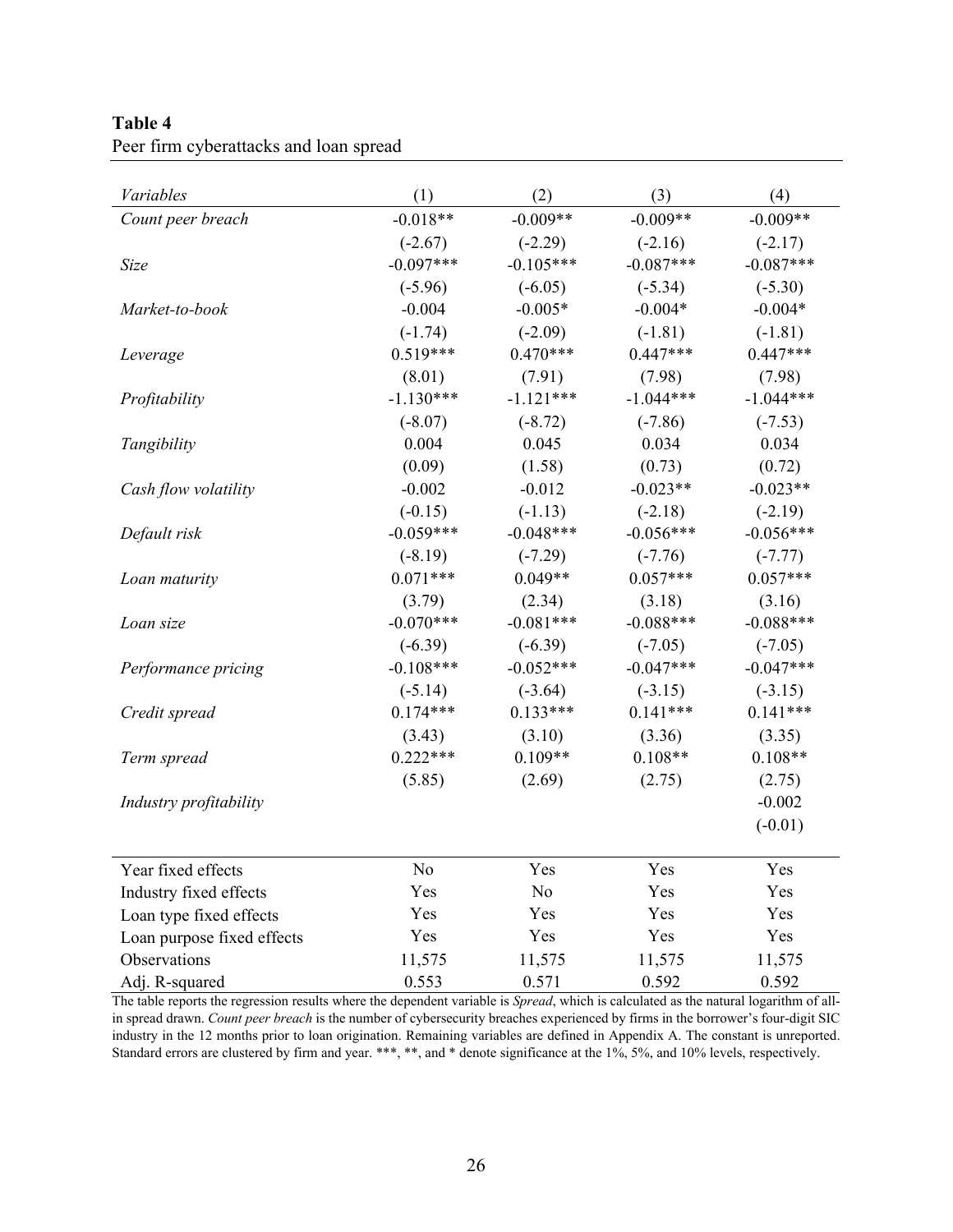| Table 4                                |
|----------------------------------------|
| Peer firm cyberattacks and loan spread |

| Variables                  | (1)         | (2)         | (3)         | (4)         |
|----------------------------|-------------|-------------|-------------|-------------|
| Count peer breach          | $-0.018**$  | $-0.009**$  | $-0.009**$  | $-0.009**$  |
|                            | $(-2.67)$   | $(-2.29)$   | $(-2.16)$   | $(-2.17)$   |
| Size                       | $-0.097***$ | $-0.105***$ | $-0.087***$ | $-0.087***$ |
|                            | $(-5.96)$   | $(-6.05)$   | $(-5.34)$   | $(-5.30)$   |
| Market-to-book             | $-0.004$    | $-0.005*$   | $-0.004*$   | $-0.004*$   |
|                            | $(-1.74)$   | $(-2.09)$   | $(-1.81)$   | $(-1.81)$   |
| Leverage                   | $0.519***$  | $0.470***$  | $0.447***$  | $0.447***$  |
|                            | (8.01)      | (7.91)      | (7.98)      | (7.98)      |
| Profitability              | $-1.130***$ | $-1.121***$ | $-1.044***$ | $-1.044***$ |
|                            | $(-8.07)$   | $(-8.72)$   | $(-7.86)$   | $(-7.53)$   |
| Tangibility                | 0.004       | 0.045       | 0.034       | 0.034       |
|                            | (0.09)      | (1.58)      | (0.73)      | (0.72)      |
| Cash flow volatility       | $-0.002$    | $-0.012$    | $-0.023**$  | $-0.023**$  |
|                            | $(-0.15)$   | $(-1.13)$   | $(-2.18)$   | $(-2.19)$   |
| Default risk               | $-0.059***$ | $-0.048***$ | $-0.056***$ | $-0.056***$ |
|                            | $(-8.19)$   | $(-7.29)$   | $(-7.76)$   | $(-7.77)$   |
| Loan maturity              | $0.071***$  | $0.049**$   | $0.057***$  | $0.057***$  |
|                            | (3.79)      | (2.34)      | (3.18)      | (3.16)      |
| Loan size                  | $-0.070***$ | $-0.081***$ | $-0.088***$ | $-0.088***$ |
|                            | $(-6.39)$   | $(-6.39)$   | $(-7.05)$   | $(-7.05)$   |
| Performance pricing        | $-0.108***$ | $-0.052***$ | $-0.047***$ | $-0.047***$ |
|                            | $(-5.14)$   | $(-3.64)$   | $(-3.15)$   | $(-3.15)$   |
| Credit spread              | $0.174***$  | $0.133***$  | $0.141***$  | $0.141***$  |
|                            | (3.43)      | (3.10)      | (3.36)      | (3.35)      |
| Term spread                | $0.222***$  | $0.109**$   | $0.108**$   | $0.108**$   |
|                            | (5.85)      | (2.69)      | (2.75)      | (2.75)      |
| Industry profitability     |             |             |             | $-0.002$    |
|                            |             |             |             | $(-0.01)$   |
| Year fixed effects         | No          | Yes         | Yes         | Yes         |
| Industry fixed effects     | Yes         | No          | Yes         | Yes         |
| Loan type fixed effects    | Yes         | Yes         | Yes         | Yes         |
| Loan purpose fixed effects | Yes         | Yes         | Yes         | Yes         |
| Observations               | 11,575      | 11,575      | 11,575      | 11,575      |
| Adj. R-squared             | 0.553       | 0.571       | 0.592       | 0.592       |

The table reports the regression results where the dependent variable is *Spread*, which is calculated as the natural logarithm of allin spread drawn. *Count peer breach* is the number of cybersecurity breaches experienced by firms in the borrower's four-digit SIC industry in the 12 months prior to loan origination. Remaining variables are defined in Appendix A. The constant is unreported. Standard errors are clustered by firm and year. \*\*\*, \*\*, and \* denote significance at the 1%, 5%, and 10% levels, respectively.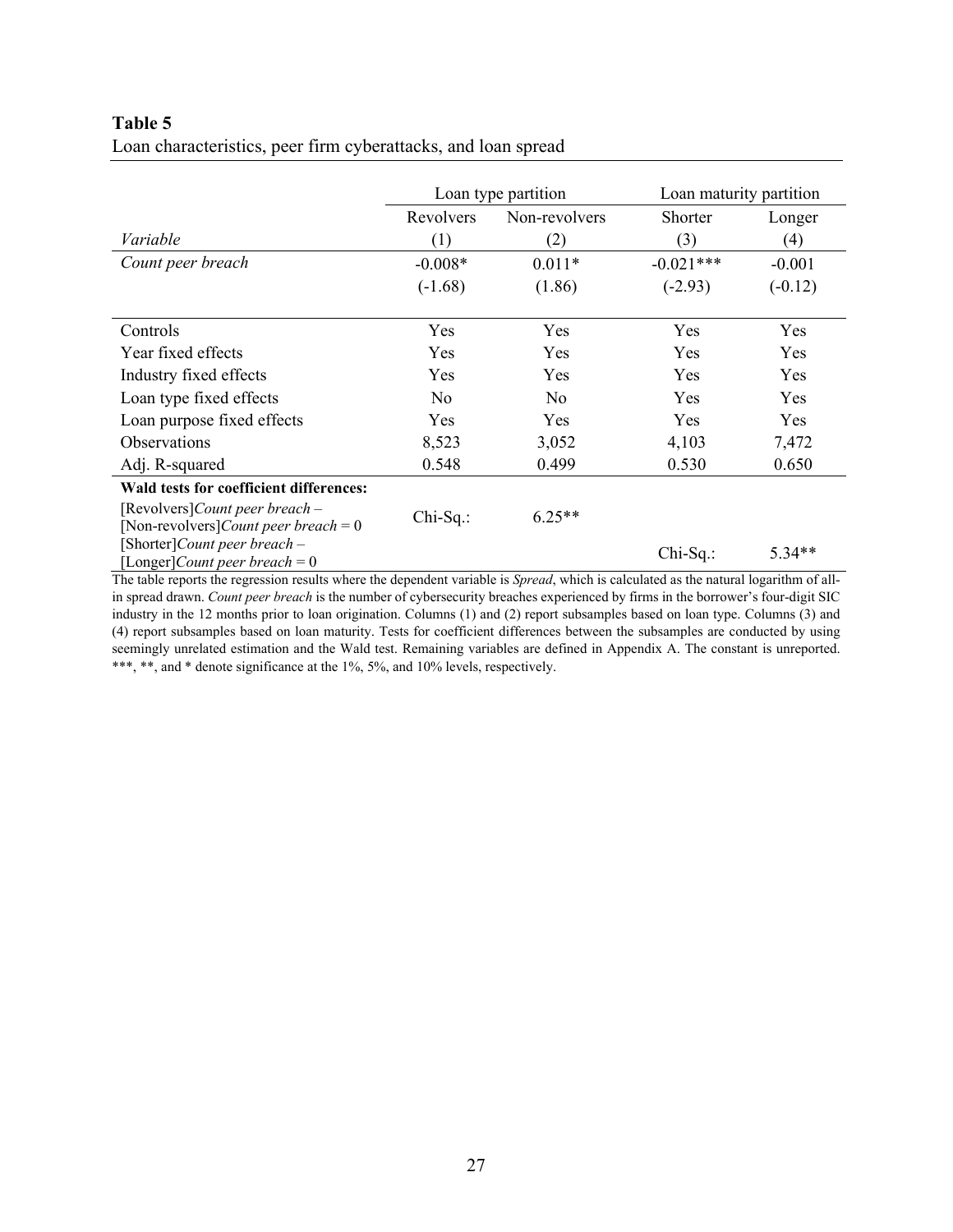# **Table 5**

|  |  |  |  |  |  | Loan characteristics, peer firm cyberattacks, and loan spread |
|--|--|--|--|--|--|---------------------------------------------------------------|
|  |  |  |  |  |  |                                                               |

|                                                                                        |                | Loan type partition | Loan maturity partition |            |  |
|----------------------------------------------------------------------------------------|----------------|---------------------|-------------------------|------------|--|
|                                                                                        | Revolvers      | Non-revolvers       | Shorter                 | Longer     |  |
| Variable                                                                               | (1)            | (2)                 | (3)                     | (4)        |  |
| Count peer breach                                                                      | $-0.008*$      | $0.011*$            | $-0.021***$             | $-0.001$   |  |
|                                                                                        | $(-1.68)$      | (1.86)              | $(-2.93)$               | $(-0.12)$  |  |
| Controls                                                                               | Yes            | <b>Yes</b>          | <b>Yes</b>              | <b>Yes</b> |  |
| Year fixed effects                                                                     | Yes            | <b>Yes</b>          | <b>Yes</b>              | <b>Yes</b> |  |
| Industry fixed effects                                                                 | Yes            | <b>Yes</b>          | <b>Yes</b>              | <b>Yes</b> |  |
| Loan type fixed effects                                                                | N <sub>o</sub> | N <sub>o</sub>      | Yes                     | Yes        |  |
| Loan purpose fixed effects                                                             | Yes            | <b>Yes</b>          | <b>Yes</b>              | <b>Yes</b> |  |
| <b>Observations</b>                                                                    | 8,523          | 3,052               | 4,103                   | 7,472      |  |
| Adj. R-squared                                                                         | 0.548          | 0.499               | 0.530                   | 0.650      |  |
| Wald tests for coefficient differences:                                                |                |                     |                         |            |  |
| [Revolvers] <i>Count peer breach</i> –<br>[Non-revolvers] <i>Count peer breach</i> = 0 | $Chi-Sq.$ :    | $6.25**$            |                         |            |  |
| [Shorter]Count peer breach -<br>[Longer] Count peer breach = $0$                       |                |                     | $Chi-Sq$ .:             | 5.34**     |  |

The table reports the regression results where the dependent variable is *Spread*, which is calculated as the natural logarithm of allin spread drawn. *Count peer breach* is the number of cybersecurity breaches experienced by firms in the borrower's four-digit SIC industry in the 12 months prior to loan origination. Columns (1) and (2) report subsamples based on loan type. Columns (3) and (4) report subsamples based on loan maturity. Tests for coefficient differences between the subsamples are conducted by using seemingly unrelated estimation and the Wald test. Remaining variables are defined in Appendix A. The constant is unreported. \*\*\*, \*\*, and \* denote significance at the 1%, 5%, and 10% levels, respectively.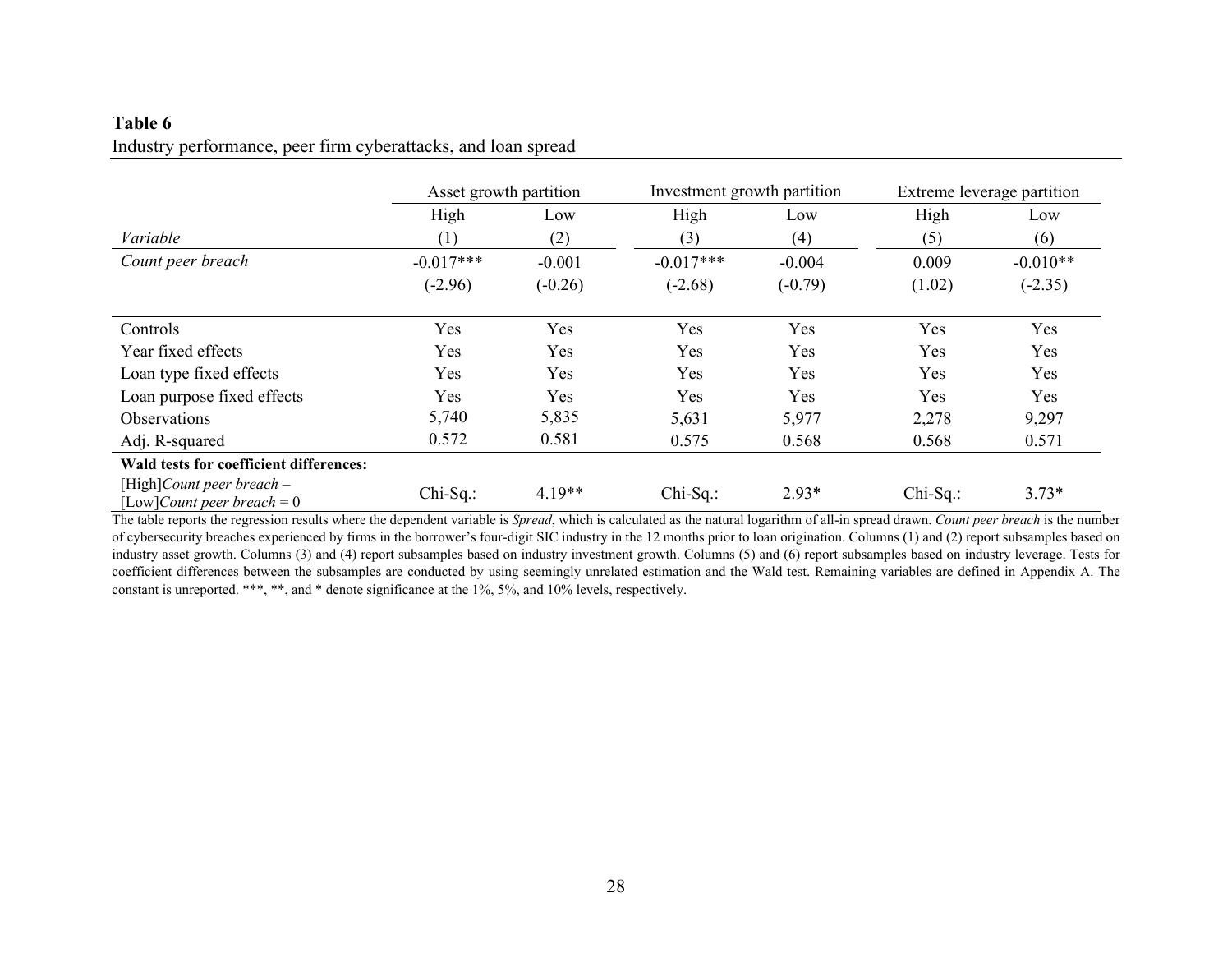# **Table 6**  Industry performance, peer firm cyberattacks, and loan spread

|                                                                   | Asset growth partition |           | Investment growth partition |           |             | Extreme leverage partition |
|-------------------------------------------------------------------|------------------------|-----------|-----------------------------|-----------|-------------|----------------------------|
|                                                                   | High                   | Low       | High                        | Low       | High        | Low                        |
| Variable                                                          | (1)                    | (2)       | (3)                         | (4)       | (5)         | (6)                        |
| Count peer breach                                                 | $-0.017***$            | $-0.001$  | $-0.017***$                 | $-0.004$  | 0.009       | $-0.010**$                 |
|                                                                   | $(-2.96)$              | $(-0.26)$ | $(-2.68)$                   | $(-0.79)$ | (1.02)      | $(-2.35)$                  |
| Controls                                                          | Yes                    | Yes       | Yes                         | Yes       | Yes         | Yes                        |
| Year fixed effects                                                | Yes                    | Yes       | Yes                         | Yes       | Yes         | Yes                        |
| Loan type fixed effects                                           | Yes                    | Yes       | Yes                         | Yes       | Yes         | Yes                        |
| Loan purpose fixed effects                                        | Yes                    | Yes       | Yes                         | Yes       | Yes         | Yes                        |
| <b>Observations</b>                                               | 5,740                  | 5,835     | 5,631                       | 5,977     | 2,278       | 9,297                      |
| Adj. R-squared                                                    | 0.572                  | 0.581     | 0.575                       | 0.568     | 0.568       | 0.571                      |
| Wald tests for coefficient differences:                           |                        |           |                             |           |             |                            |
| [High]Count peer breach $-$<br>[Low] <i>Count peer breach</i> = 0 | $Chi-Sq$ .:            | $4.19**$  | $Chi-Sq$ .:                 | $2.93*$   | $Chi-Sq.$ : | $3.73*$                    |

The table reports the regression results where the dependent variable is *Spread*, which is calculated as the natural logarithm of all-in spread drawn. *Count peer breach* is the number of cybersecurity breaches experienced by firms in the borrower's four-digit SIC industry in the 12 months prior to loan origination. Columns (1) and (2) report subsamples based on industry asset growth. Columns (3) and (4) report subsamples based on industry investment growth. Columns (5) and (6) report subsamples based on industry leverage. Tests for coefficient differences between the subsamples are conducted by using seemingly unrelated estimation and the Wald test. Remaining variables are defined in Appendix A. The constant is unreported. \*\*\*, \*\*, and \* denote significance at the 1%, 5%, and 10% levels, respectively.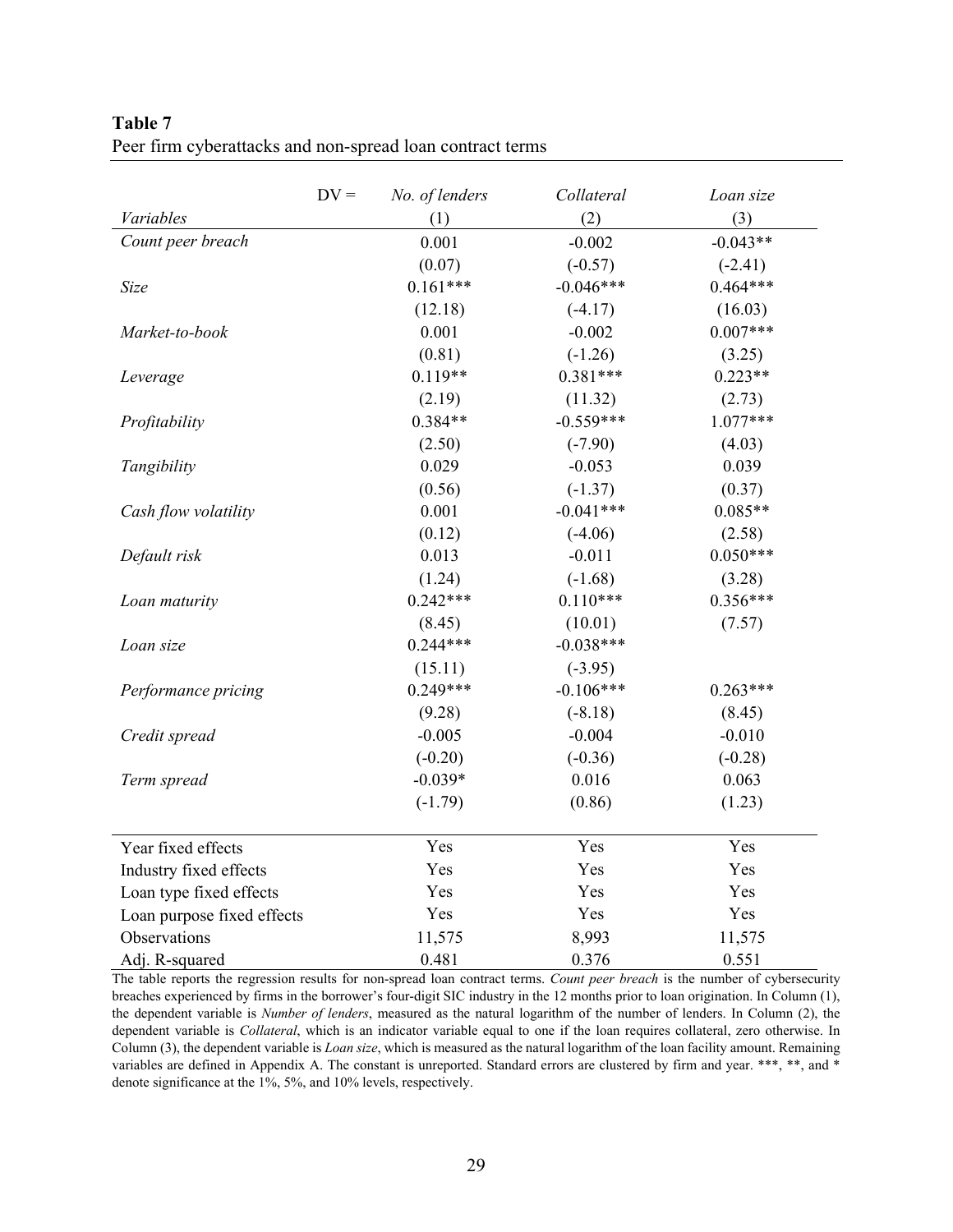|                            | $DV =$ | No. of lenders | Collateral  | Loan size  |
|----------------------------|--------|----------------|-------------|------------|
| Variables                  |        | (1)            | (2)         | (3)        |
| Count peer breach          |        | 0.001          | $-0.002$    | $-0.043**$ |
|                            |        | (0.07)         | $(-0.57)$   | $(-2.41)$  |
| Size                       |        | $0.161***$     | $-0.046***$ | $0.464***$ |
|                            |        | (12.18)        | $(-4.17)$   | (16.03)    |
| Market-to-book             |        | 0.001          | $-0.002$    | $0.007***$ |
|                            |        | (0.81)         | $(-1.26)$   | (3.25)     |
| Leverage                   |        | $0.119**$      | $0.381***$  | $0.223**$  |
|                            |        | (2.19)         | (11.32)     | (2.73)     |
| Profitability              |        | $0.384**$      | $-0.559***$ | $1.077***$ |
|                            |        | (2.50)         | $(-7.90)$   | (4.03)     |
| Tangibility                |        | 0.029          | $-0.053$    | 0.039      |
|                            |        | (0.56)         | $(-1.37)$   | (0.37)     |
| Cash flow volatility       |        | 0.001          | $-0.041***$ | $0.085**$  |
|                            |        | (0.12)         | $(-4.06)$   | (2.58)     |
| Default risk               |        | 0.013          | $-0.011$    | $0.050***$ |
|                            |        | (1.24)         | $(-1.68)$   | (3.28)     |
| Loan maturity              |        | $0.242***$     | $0.110***$  | $0.356***$ |
|                            |        | (8.45)         | (10.01)     | (7.57)     |
| Loan size                  |        | $0.244***$     | $-0.038***$ |            |
|                            |        | (15.11)        | $(-3.95)$   |            |
| Performance pricing        |        | $0.249***$     | $-0.106***$ | $0.263***$ |
|                            |        | (9.28)         | $(-8.18)$   | (8.45)     |
| Credit spread              |        | $-0.005$       | $-0.004$    | $-0.010$   |
|                            |        | $(-0.20)$      | $(-0.36)$   | $(-0.28)$  |
| Term spread                |        | $-0.039*$      | 0.016       | 0.063      |
|                            |        | $(-1.79)$      | (0.86)      | (1.23)     |
| Year fixed effects         |        | Yes            | Yes         | Yes        |
| Industry fixed effects     |        | Yes            | Yes         | Yes        |
| Loan type fixed effects    |        | Yes            | Yes         | Yes        |
| Loan purpose fixed effects |        | Yes            | Yes         | Yes        |
| Observations               |        | 11,575         | 8,993       | 11,575     |
| Adj. R-squared             |        | 0.481          | 0.376       | 0.551      |

**Table 7**  Peer firm cyberattacks and non-spread loan contract terms

The table reports the regression results for non-spread loan contract terms. *Count peer breach* is the number of cybersecurity breaches experienced by firms in the borrower's four-digit SIC industry in the 12 months prior to loan origination. In Column (1), the dependent variable is *Number of lenders*, measured as the natural logarithm of the number of lenders. In Column (2), the dependent variable is *Collateral*, which is an indicator variable equal to one if the loan requires collateral, zero otherwise. In Column (3), the dependent variable is *Loan size*, which is measured as the natural logarithm of the loan facility amount. Remaining variables are defined in Appendix A. The constant is unreported. Standard errors are clustered by firm and year. \*\*\*, \*\*, and \* denote significance at the 1%, 5%, and 10% levels, respectively.